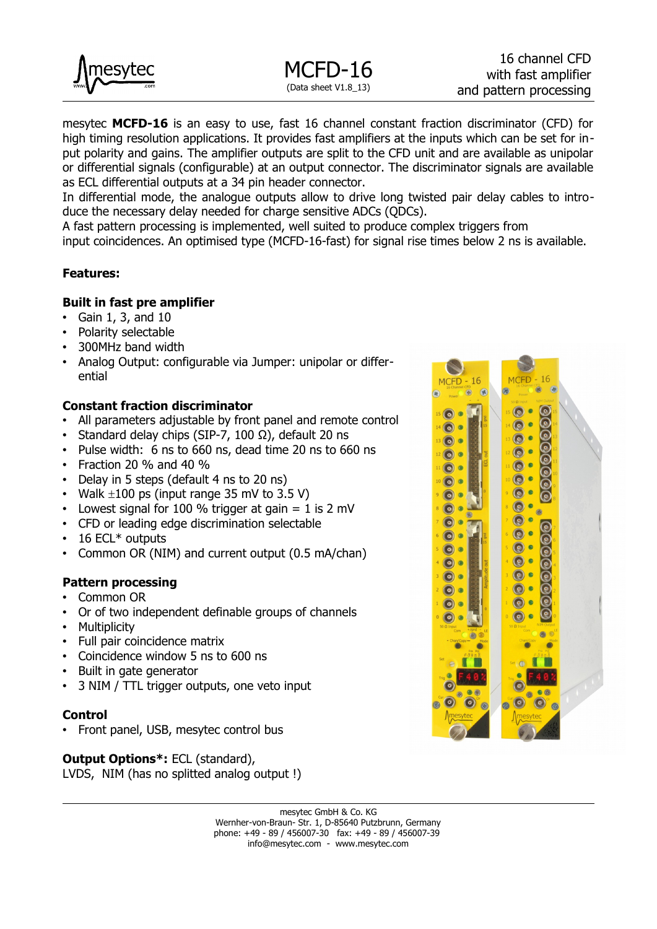

mesytec **MCFD-16** is an easy to use, fast 16 channel constant fraction discriminator (CFD) for high timing resolution applications. It provides fast amplifiers at the inputs which can be set for input polarity and gains. The amplifier outputs are split to the CFD unit and are available as unipolar or differential signals (configurable) at an output connector. The discriminator signals are available as ECL differential outputs at a 34 pin header connector.

In differential mode, the analogue outputs allow to drive long twisted pair delay cables to introduce the necessary delay needed for charge sensitive ADCs (QDCs).

A fast pattern processing is implemented, well suited to produce complex triggers from

input coincidences. An optimised type (MCFD-16-fast) for signal rise times below 2 ns is available.

#### **Features:**

#### **Built in fast pre amplifier**

- Gain 1, 3, and 10
- Polarity selectable
- 300MHz band width
- Analog Output: configurable via Jumper: unipolar or differential

#### **Constant fraction discriminator**

- All parameters adjustable by front panel and remote control
- Standard delay chips (SIP-7, 100 Ω), default 20 ns
- Pulse width: 6 ns to 660 ns, dead time 20 ns to 660 ns
- Fraction 20 % and 40 %
- Delay in 5 steps (default 4 ns to 20 ns)
- Walk  $\pm 100$  ps (input range 35 mV to 3.5 V)
- Lowest signal for 100 % trigger at gain  $= 1$  is 2 mV
- CFD or leading edge discrimination selectable
- 16 ECL<sup>\*</sup> outputs
- Common OR (NIM) and current output (0.5 mA/chan)
- **Pattern processing**
- Common OR
- Or of two independent definable groups of channels
- Multiplicity
- Full pair coincidence matrix
- Coincidence window 5 ns to 600 ns
- Built in gate generator
- 3 NIM / TTL trigger outputs, one veto input

#### **Control**

• Front panel, USB, mesytec control bus

**Output Options\*:** ECL (standard), LVDS, NIM (has no splitted analog output !)

 $16$ 16 **MCFD MCFD**  $\odot$  $\epsilon$  $15$   $\odot$   $\bullet$ 66666666  $\bullet$  $\odot$  $14$   $\odot$   $\bullet$  $\odot$  $\bullet$  $13$   $\odot$   $\bullet$  $\odot$  $\bullet$  $12$  (c)  $\bullet$  $\odot$  $11$   $\odot$   $\bullet$  $\odot$  $10$   $\odot$   $\odot$  $\bigcirc$  $\bullet$  $\bullet$  $\bullet$  $\odot$  $\odot$  $\bullet$  $\odot$  $\bullet$  $\bullet$ 0000000  $\odot$  $\bullet$  $\odot$  $\bullet$  $\bullet$  $\odot$  $\bullet$  $\overline{\odot}$  $\bullet$  $\odot$   $\bullet$  $\bullet$  $\odot$  $\circ$  $\odot$  $\bullet$  $\odot$   $\bullet$  $\odot$  $\bullet$  $\odot \bullet$  $\overline{\mathsf{C}}$  $\odot$  $\odot$  $\bullet$  $06$ 

mesytec GmbH & Co. KG Wernher-von-Braun- Str. 1, D-85640 Putzbrunn, Germany phone: +49 - 89 / 456007-30 fax: +49 - 89 / 456007-39 info@mesytec.com - www.mesytec.com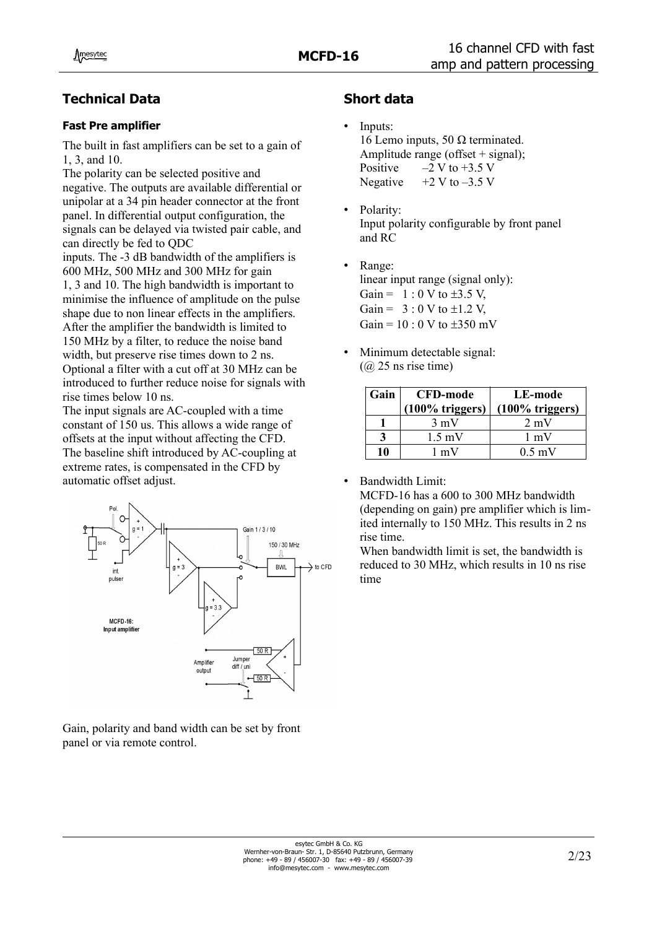# **Technical Data**

#### **Fast Pre amplifier**

The built in fast amplifiers can be set to a gain of 1, 3, and 10.

The polarity can be selected positive and negative. The outputs are available differential or unipolar at a 34 pin header connector at the front panel. In differential output configuration, the signals can be delayed via twisted pair cable, and can directly be fed to QDC

inputs. The -3 dB bandwidth of the amplifiers is 600 MHz, 500 MHz and 300 MHz for gain 1, 3 and 10. The high bandwidth is important to minimise the influence of amplitude on the pulse shape due to non linear effects in the amplifiers. After the amplifier the bandwidth is limited to 150 MHz by a filter, to reduce the noise band width, but preserve rise times down to 2 ns. Optional a filter with a cut off at 30 MHz can be introduced to further reduce noise for signals with rise times below 10 ns.

The input signals are AC-coupled with a time constant of 150 us. This allows a wide range of offsets at the input without affecting the CFD. The baseline shift introduced by AC-coupling at extreme rates, is compensated in the CFD by automatic offset adjust.



Gain, polarity and band width can be set by front panel or via remote control.

# **Short data**

- Inputs: 16 Lemo inputs, 50 Ω terminated. Amplitude range (offset  $+$  signal); Positive  $-2 \text{ V}$  to  $+3.5 \text{ V}$ Negative  $+2$  V to  $-3.5$  V
- Polarity: Input polarity configurable by front panel and RC
- Range: linear input range (signal only): Gain =  $1:0 \text{ V}$  to  $\pm 3.5 \text{ V}$ , Gain =  $3 : 0 \text{ V}$  to  $\pm 1.2 \text{ V}$ , Gain =  $10:0$  V to  $\pm 350$  mV
- Minimum detectable signal:  $(Q<sub>0</sub> 25 \text{ ns} \text{ rise time})$

| Gain | <b>CFD-mode</b>    | LE-mode            |
|------|--------------------|--------------------|
|      | $(100\%$ triggers) | $(100\%$ triggers) |
|      | $3 \text{ mV}$     | $2 \text{ mV}$     |
| 3    | $1.5 \text{ mV}$   | $1 \text{ mV}$     |
| 10   | 1 mV               | $0.5 \text{ mV}$   |

Bandwidth Limit:

MCFD-16 has a 600 to 300 MHz bandwidth (depending on gain) pre amplifier which is limited internally to 150 MHz. This results in 2 ns rise time.

When bandwidth limit is set, the bandwidth is reduced to 30 MHz, which results in 10 ns rise time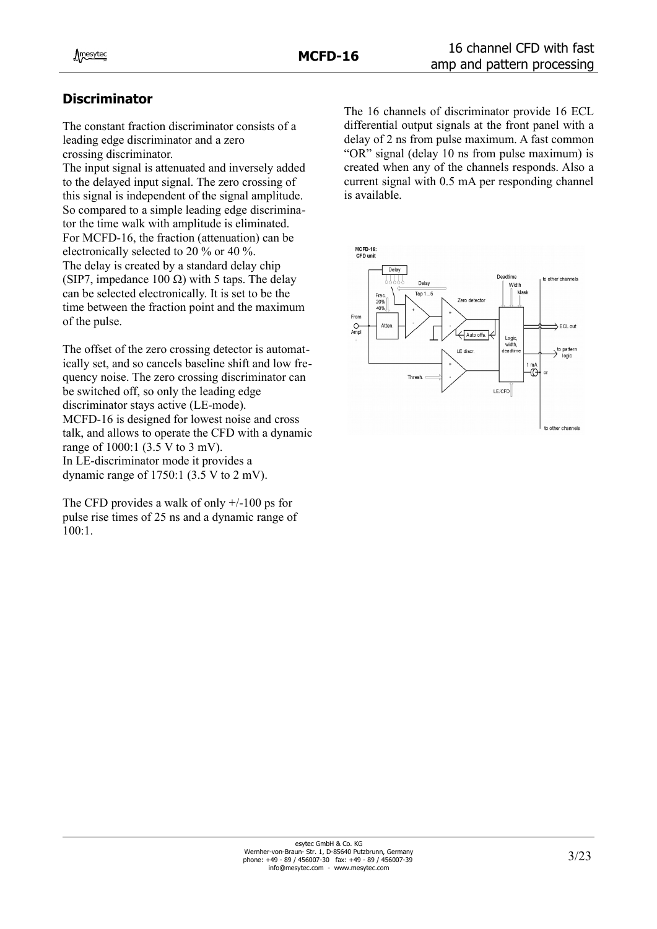# **Discriminator**

The constant fraction discriminator consists of a leading edge discriminator and a zero crossing discriminator.

The input signal is attenuated and inversely added to the delayed input signal. The zero crossing of this signal is independent of the signal amplitude. So compared to a simple leading edge discriminator the time walk with amplitude is eliminated. For MCFD-16, the fraction (attenuation) can be electronically selected to 20 % or 40 %. The delay is created by a standard delay chip (SIP7, impedance 100  $\Omega$ ) with 5 taps. The delay can be selected electronically. It is set to be the time between the fraction point and the maximum of the pulse.

The offset of the zero crossing detector is automatically set, and so cancels baseline shift and low frequency noise. The zero crossing discriminator can be switched off, so only the leading edge discriminator stays active (LE-mode). MCFD-16 is designed for lowest noise and cross talk, and allows to operate the CFD with a dynamic range of 1000:1 (3.5 V to 3 mV). In LE-discriminator mode it provides a dynamic range of 1750:1 (3.5 V to 2 mV).

The CFD provides a walk of only  $+/100$  ps for pulse rise times of 25 ns and a dynamic range of 100:1.

The 16 channels of discriminator provide 16 ECL differential output signals at the front panel with a delay of 2 ns from pulse maximum. A fast common "OR" signal (delay 10 ns from pulse maximum) is created when any of the channels responds. Also a current signal with 0.5 mA per responding channel is available.

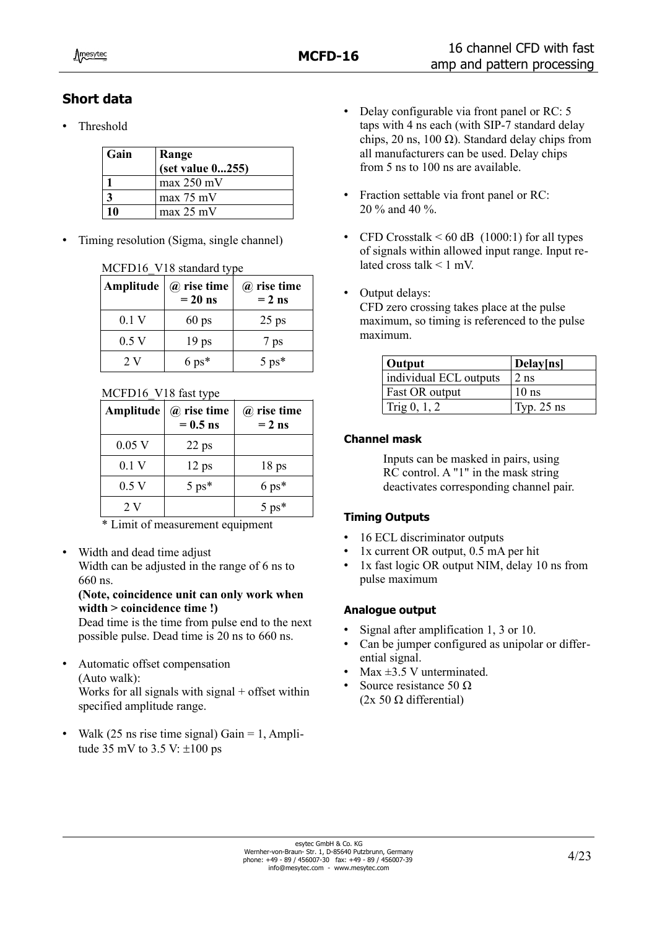# **Short data**

• Threshold

| Gain | Range<br>(set value 0255) |
|------|---------------------------|
|      | $max 250$ mV              |
|      | max 75 mV                 |
| 10   | max 25 mV                 |

• Timing resolution (Sigma, single channel)

#### MCFD16 V18 standard type

| Amplitude | $\omega$ rise time<br>$= 20$ ns | $\omega$ rise time<br>$= 2$ ns |  |  |
|-----------|---------------------------------|--------------------------------|--|--|
| 0.1V      | $60$ ps                         | $25$ ps                        |  |  |
| 0.5V      | 19 <sub>ps</sub>                | 7 ps                           |  |  |
| 2V        | $6 \text{ ps*}$                 | $5 \text{ ps*}$                |  |  |

#### MCFD16\_V18 fast type

| Amplitude | $\omega$ rise time<br>$= 0.5$ ns | $(a)$ rise time<br>$= 2$ ns |
|-----------|----------------------------------|-----------------------------|
| $0.05$ V  | $22$ ps                          |                             |
| 0.1V      | $12$ ps                          | 18 <sub>ps</sub>            |
| 0.5V      | $5 \text{ ps*}$                  | $6 \text{ ps*}$             |
| 2 V       |                                  | $5 \text{ ps*}$             |

\* Limit of measurement equipment

• Width and dead time adjust Width can be adjusted in the range of 6 ns to 660 ns.

#### **(Note, coincidence unit can only work when width > coincidence time !)**

Dead time is the time from pulse end to the next possible pulse. Dead time is 20 ns to 660 ns.

- Automatic offset compensation (Auto walk): Works for all signals with signal  $+$  offset within specified amplitude range.
- Walk  $(25 \text{ ns} \text{ rise time signal})$  Gain = 1, Amplitude 35 mV to 3.5 V:  $\pm 100$  ps
- Delay configurable via front panel or RC: 5 taps with 4 ns each (with SIP-7 standard delay chips, 20 ns, 100 Ω). Standard delay chips from all manufacturers can be used. Delay chips from 5 ns to 100 ns are available.
- Fraction settable via front panel or RC: 20 % and 40 %.
- CFD Crosstalk  $\leq 60$  dB (1000:1) for all types of signals within allowed input range. Input related cross talk  $\leq 1$  mV.
- Output delays:

CFD zero crossing takes place at the pulse maximum, so timing is referenced to the pulse maximum.

| Output                 | Delay[ns]    |
|------------------------|--------------|
| individual ECL outputs | $2$ ns       |
| <b>Fast OR output</b>  | $10$ ns      |
| $\text{Trig } 0, 1, 2$ | Typ. $25$ ns |

### **Channel mask**

Inputs can be masked in pairs, using RC control. A "1" in the mask string deactivates corresponding channel pair.

### **Timing Outputs**

- 16 ECL discriminator outputs
- 1x current OR output, 0.5 mA per hit
- 1x fast logic OR output NIM, delay 10 ns from pulse maximum

### **Analogue output**

- Signal after amplification 1, 3 or 10.
- Can be jumper configured as unipolar or differential signal.
- Max  $\pm 3.5$  V unterminated.
- Source resistance 50 Ω (2x 50 Ω differential)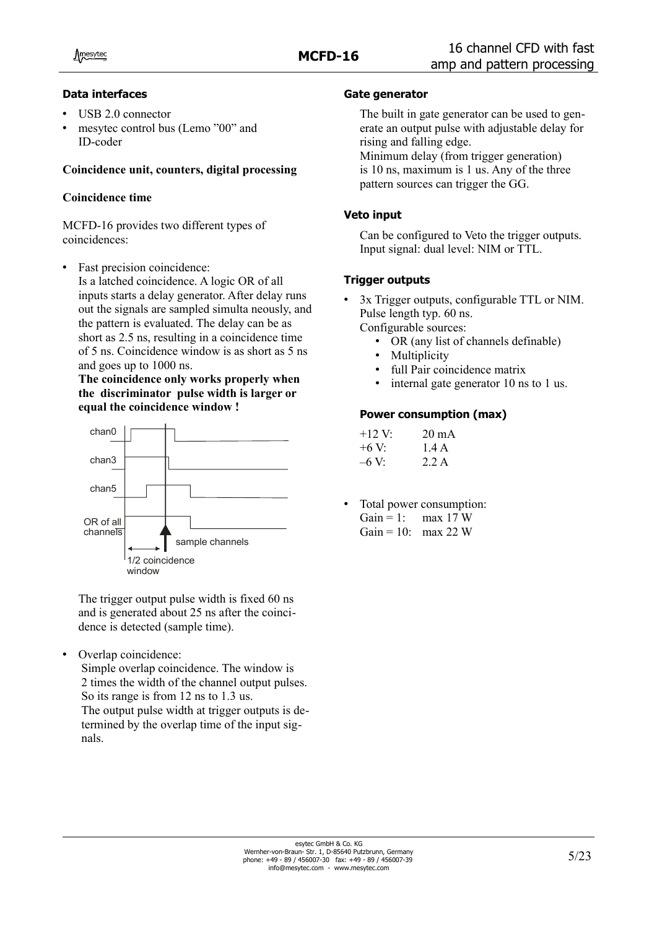#### **Data interfaces**

- USB 2.0 connector
- mesytec control bus (Lemo "00" and ID-coder

### **Coincidence unit, counters, digital processing**

#### **Coincidence time**

MCFD-16 provides two different types of coincidences:

Fast precision coincidence: Is a latched coincidence. A logic OR of all inputs starts a delay generator. After delay runs out the signals are sampled simulta neously, and the pattern is evaluated. The delay can be as short as 2.5 ns, resulting in a coincidence time of 5 ns. Coincidence window is as short as 5 ns and goes up to 1000 ns.

**The coincidence only works properly when the discriminator pulse width is larger or equal the coincidence window !**



The trigger output pulse width is fixed 60 ns and is generated about 25 ns after the coincidence is detected (sample time).

Overlap coincidence:

Simple overlap coincidence. The window is 2 times the width of the channel output pulses. So its range is from 12 ns to 1.3 us. The output pulse width at trigger outputs is determined by the overlap time of the input signals.

## **Gate generator**

The built in gate generator can be used to generate an output pulse with adjustable delay for rising and falling edge.

Minimum delay (from trigger generation) is 10 ns, maximum is 1 us. Any of the three pattern sources can trigger the GG.

### **Veto input**

Can be configured to Veto the trigger outputs. Input signal: dual level: NIM or TTL.

## **Trigger outputs**

- 3x Trigger outputs, configurable TTL or NIM. Pulse length typ. 60 ns. Configurable sources:
	- OR (any list of channels definable)
	- **Multiplicity**
	- full Pair coincidence matrix
	- internal gate generator 10 ns to 1 us.

#### **Power consumption (max)**

| $+12$ V | $20 \text{ mA}$ |
|---------|-----------------|
| $+6V$   | 1.4 A           |
| $-6V$   | 2.2A            |

Total power consumption: Gain = 1: max 17 W Gain = 10: max 22 W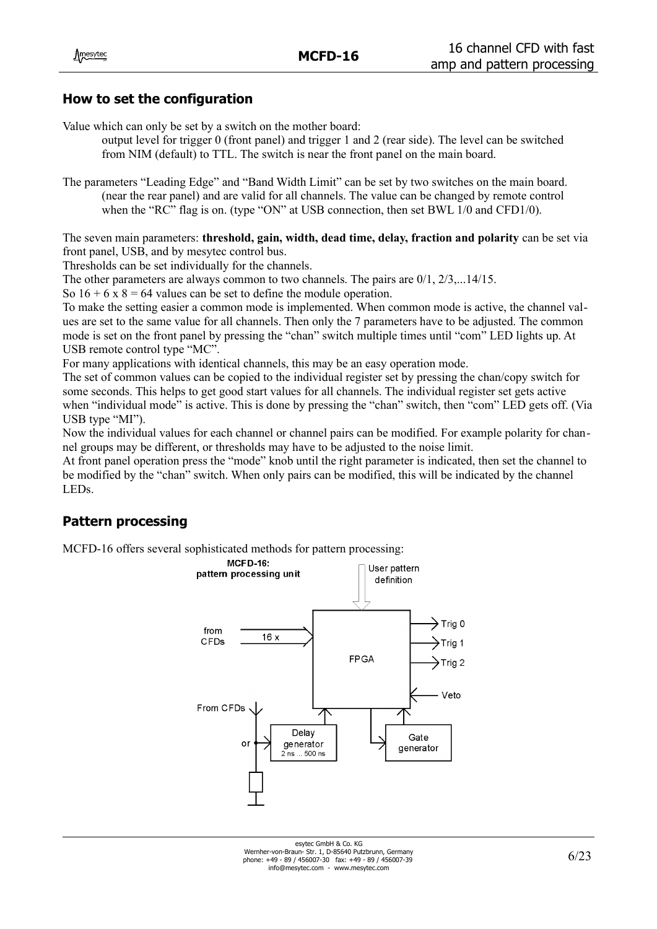## **How to set the configuration**

Value which can only be set by a switch on the mother board:

output level for trigger 0 (front panel) and trigger 1 and 2 (rear side). The level can be switched from NIM (default) to TTL. The switch is near the front panel on the main board.

The parameters "Leading Edge" and "Band Width Limit" can be set by two switches on the main board. (near the rear panel) and are valid for all channels. The value can be changed by remote control when the "RC" flag is on. (type "ON" at USB connection, then set BWL 1/0 and CFD1/0).

The seven main parameters: **threshold, gain, width, dead time, delay, fraction and polarity** can be set via front panel, USB, and by mesytec control bus.

Thresholds can be set individually for the channels.

The other parameters are always common to two channels. The pairs are 0/1, 2/3,...14/15.

So  $16 + 6x8 = 64$  values can be set to define the module operation.

To make the setting easier a common mode is implemented. When common mode is active, the channel values are set to the same value for all channels. Then only the 7 parameters have to be adjusted. The common mode is set on the front panel by pressing the "chan" switch multiple times until "com" LED lights up. At USB remote control type "MC".

For many applications with identical channels, this may be an easy operation mode.

The set of common values can be copied to the individual register set by pressing the chan/copy switch for some seconds. This helps to get good start values for all channels. The individual register set gets active when "individual mode" is active. This is done by pressing the "chan" switch, then "com" LED gets off. (Via USB type "MI").

Now the individual values for each channel or channel pairs can be modified. For example polarity for channel groups may be different, or thresholds may have to be adjusted to the noise limit.

At front panel operation press the "mode" knob until the right parameter is indicated, then set the channel to be modified by the "chan" switch. When only pairs can be modified, this will be indicated by the channel LEDs.

## **Pattern processing**

MCFD-16 offers several sophisticated methods for pattern processing:

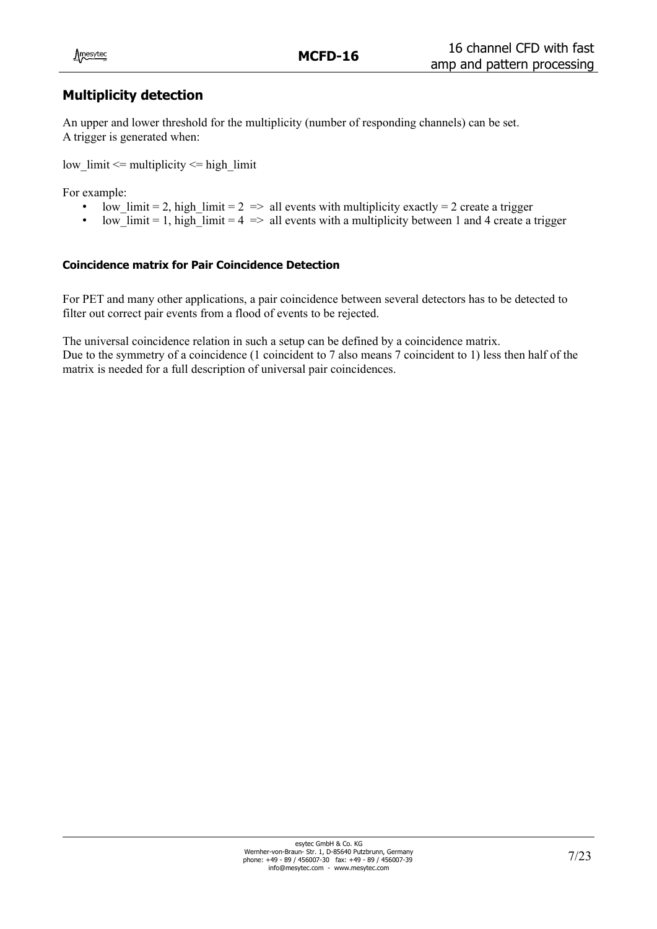## **Multiplicity detection**

An upper and lower threshold for the multiplicity (number of responding channels) can be set. A trigger is generated when:

low  $\lim_{x \to \infty}$  limit  $\leq$  multiplicity  $\leq$  high  $\lim_{x \to \infty}$ 

For example:

- low limit = 2, high limit =  $2$  => all events with multiplicity exactly = 2 create a trigger
- low\_limit = 1, high\_limit =  $4 \Rightarrow$  all events with a multiplicity between 1 and 4 create a trigger

#### **Coincidence matrix for Pair Coincidence Detection**

For PET and many other applications, a pair coincidence between several detectors has to be detected to filter out correct pair events from a flood of events to be rejected.

The universal coincidence relation in such a setup can be defined by a coincidence matrix.

Due to the symmetry of a coincidence (1 coincident to 7 also means 7 coincident to 1) less then half of the matrix is needed for a full description of universal pair coincidences.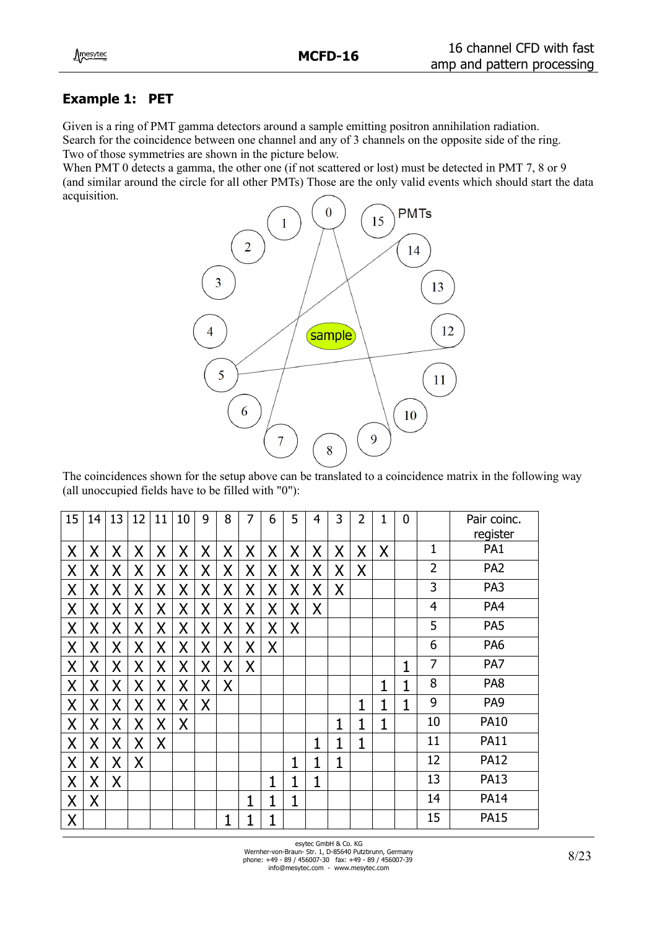## **Example 1: PET**

Given is a ring of PMT gamma detectors around a sample emitting positron annihilation radiation. Search for the coincidence between one channel and any of 3 channels on the opposite side of the ring. Two of those symmetries are shown in the picture below.

When PMT 0 detects a gamma, the other one (if not scattered or lost) must be detected in PMT 7, 8 or 9 (and similar around the circle for all other PMTs) Those are the only valid events which should start the data acquisition.



The coincidences shown for the setup above can be translated to a coincidence matrix in the following way (all unoccupied fields have to be filled with "0"):

| 15      | 14 | 13 | 12 | 11 | 10 | 9 | 8 | 7 | 6 | 5 | 4 | 3            | $\overline{2}$ | 1 | $\overline{0}$ |                | Pair coinc.<br>register |
|---------|----|----|----|----|----|---|---|---|---|---|---|--------------|----------------|---|----------------|----------------|-------------------------|
| X       | Χ  | X  | X  | X  | X  | X | Χ | X | X | X | X | X            | X              | Χ |                | $\mathbf 1$    | PA <sub>1</sub>         |
| X       | Χ  | X  | X  | X  | Χ  | Χ | X | X | X | X | X | Χ            | X              |   |                | $\overline{2}$ | PA <sub>2</sub>         |
| X       | Χ  | X  | X  | X  | Χ  | Χ | X | Χ | X | X | X | Χ            |                |   |                | 3              | PA3                     |
| X       | Χ  | X  | X  | X  | Χ  | X | X | Χ | X | X | X |              |                |   |                | $\overline{4}$ | PA4                     |
| X       | Χ  | X  | Χ  | X  | X  | Χ | X | Χ | Χ | X |   |              |                |   |                | 5              | PA <sub>5</sub>         |
| X       | Χ  | X  | X  | Χ  | X  | X | X | Χ | X |   |   |              |                |   |                | 6              | PA <sub>6</sub>         |
| X       | Χ  | X  | Χ  | X  | X  | X | X | X |   |   |   |              |                |   | 1              | $\overline{7}$ | PA7                     |
| $\sf X$ | Χ  | X  | Χ  | X  | X  | X | X |   |   |   |   |              |                | 1 | 1              | 8              | PA8                     |
| X       | Χ  | X  | Χ  | X  | Χ  | Χ |   |   |   |   |   |              | 1              | 1 | 1              | 9              | PA <sub>9</sub>         |
| X       | Χ  | X  | X  | Χ  | X  |   |   |   |   |   |   | 1            | 1              | 1 |                | 10             | <b>PA10</b>             |
| X       | X  | X  | X  | X  |    |   |   |   |   |   | 1 | $\mathbf{1}$ | $\mathbf{1}$   |   |                | 11             | <b>PA11</b>             |
| $\sf X$ | Χ  | X  | X  |    |    |   |   |   |   | 1 | 1 | 1            |                |   |                | 12             | <b>PA12</b>             |
| X       | Χ  | X  |    |    |    |   |   |   | 1 | 1 | 1 |              |                |   |                | 13             | <b>PA13</b>             |
| X       | Χ  |    |    |    |    |   |   | 1 |   | 1 |   |              |                |   |                | 14             | <b>PA14</b>             |
| X       |    |    |    |    |    |   | 1 | 1 | 1 |   |   |              |                |   |                | 15             | <b>PA15</b>             |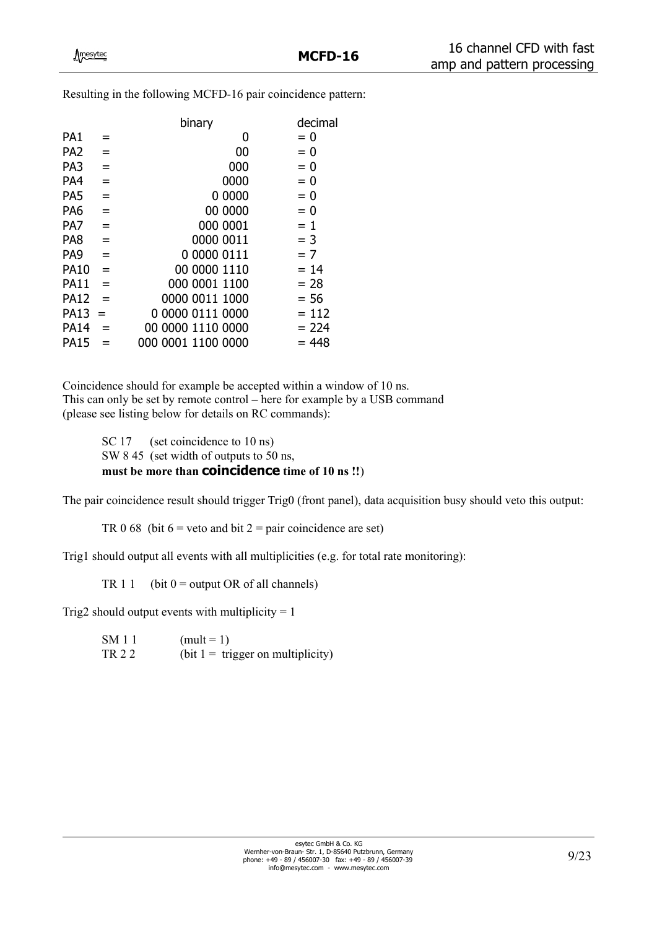Resulting in the following MCFD-16 pair coincidence pattern:

|                 |     | binary             | decimal |
|-----------------|-----|--------------------|---------|
| PA1             | $=$ | 0                  | $= 0$   |
| PA <sub>2</sub> | $=$ | 00                 | $= 0$   |
| PA3             | $=$ | 000                | $= 0$   |
| PA4             | $=$ | 0000               | $= 0$   |
| PA <sub>5</sub> | $=$ | 0 0000             | $= 0$   |
| PA6             | $=$ | 00 0000            | $= 0$   |
| PA7             | $=$ | 000 0001           | $= 1$   |
| PA8             | $=$ | 0000 0011          | $=$ 3   |
| PA <sub>9</sub> | $=$ | 0 0000 0111        | $= 7$   |
| <b>PA10</b>     | $=$ | 00 0000 1110       | $= 14$  |
| <b>PA11</b>     | $=$ | 000 0001 1100      | $= 28$  |
| <b>PA12</b>     | $=$ | 0000 0011 1000     | $= 56$  |
| <b>PA13</b>     | $=$ | 0 0000 0111 0000   | $= 112$ |
| <b>PA14</b>     | $=$ | 00 0000 1110 0000  | $= 224$ |
| <b>PA15</b>     |     | 000 0001 1100 0000 | $= 448$ |
|                 |     |                    |         |

Coincidence should for example be accepted within a window of 10 ns. This can only be set by remote control – here for example by a USB command (please see listing below for details on RC commands):

> SC 17 (set coincidence to 10 ns) SW 8 45 (set width of outputs to 50 ns, **must be more than coincidence time of 10 ns !!**)

The pair coincidence result should trigger Trig0 (front panel), data acquisition busy should veto this output:

TR 0 68 (bit  $6 =$  veto and bit  $2 =$  pair coincidence are set)

Trig1 should output all events with all multiplicities (e.g. for total rate monitoring):

TR 1 1 (bit  $0 =$  output OR of all channels)

Trig2 should output events with multiplicity  $= 1$ 

 $SM 1 1$  (mult = 1) TR 2 2 (bit  $1 = \text{trigger on multiplicity}$ )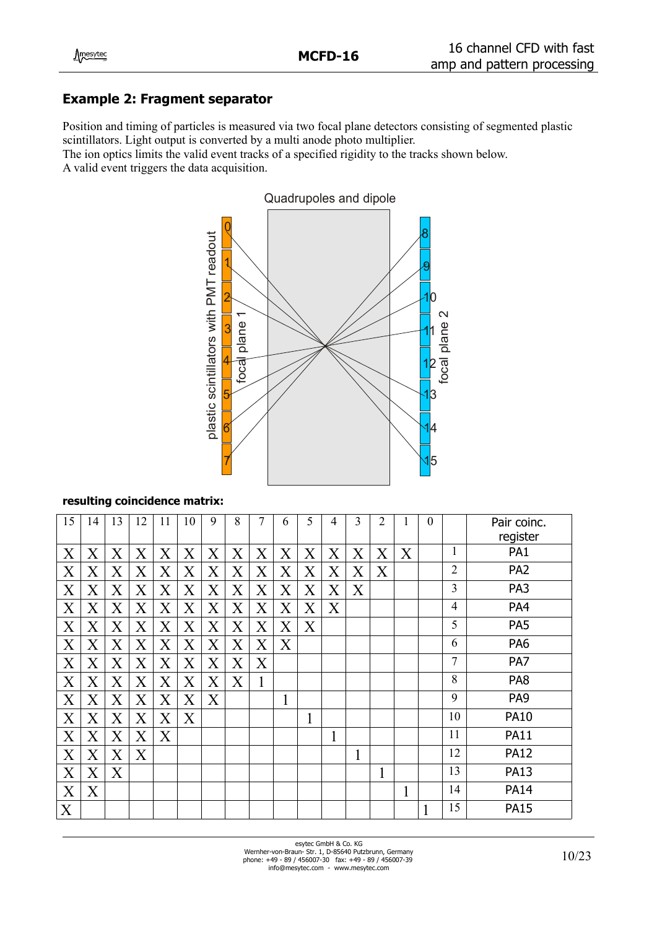## **Example 2: Fragment separator**

Position and timing of particles is measured via two focal plane detectors consisting of segmented plastic scintillators. Light output is converted by a multi anode photo multiplier.

The ion optics limits the valid event tracks of a specified rigidity to the tracks shown below. A valid event triggers the data acquisition.



#### **resulting coincidence matrix:**

| 15                | 14                | 13                | 12                | 11      | 10                      | 9       | 8                 | 7                       | 6                 | 5                       | 4                       | 3                 | 2 |   | $\boldsymbol{0}$ |                | Pair coinc.     |
|-------------------|-------------------|-------------------|-------------------|---------|-------------------------|---------|-------------------|-------------------------|-------------------|-------------------------|-------------------------|-------------------|---|---|------------------|----------------|-----------------|
|                   |                   |                   |                   |         |                         |         |                   |                         |                   |                         |                         |                   |   |   |                  |                | register        |
| Χ                 | $\rm X$           | $\rm X$           | $\rm\overline{X}$ | X       | X                       | X       | X                 | X                       | $\rm X$           | $\overline{\mathrm{X}}$ | X                       | $\rm X$           | X | X |                  | 1              | PA1             |
| $\rm\overline{X}$ | $\rm\overline{X}$ | $\rm\overline{X}$ | $\rm\overline{X}$ | X       | $\rm\overline{X}$       | X       | $\rm\overline{X}$ | X                       | $\rm\overline{X}$ | $\rm\overline{X}$       | $\overline{\mathrm{X}}$ | $\rm\overline{X}$ | X |   |                  | $\overline{2}$ | PA <sub>2</sub> |
| X                 | $\rm X$           | $\rm X$           | $\rm\overline{X}$ | $\rm X$ | $\rm X$                 | X       | $\rm\overline{X}$ | X                       | $\rm X$           | Χ                       | $\rm\overline{X}$       | Χ                 |   |   |                  | 3              | PA3             |
| X                 | $\rm X$           | $\rm X$           | X                 | X       | $\rm X$                 | X       | Χ                 | $\overline{\mathrm{X}}$ | $\rm X$           | $\rm X$                 | X                       |                   |   |   |                  | $\overline{4}$ | PA4             |
| X                 | $\rm X$           | $\rm X$           | $\rm\overline{X}$ | X       | Χ                       | X       | X                 | X                       | X                 | Χ                       |                         |                   |   |   |                  | 5              | PA <sub>5</sub> |
| X                 | $\rm\overline{X}$ | $\rm\overline{X}$ | $\rm\overline{X}$ | X       | $\overline{\mathrm{X}}$ | X       | $\rm\overline{X}$ | X                       | X                 |                         |                         |                   |   |   |                  | 6              | PA <sub>6</sub> |
| X                 | $\rm\overline{X}$ | $\rm X$           | X                 | X       | X                       | X       | X                 | X                       |                   |                         |                         |                   |   |   |                  | $\overline{7}$ | PA7             |
| X                 | $\rm\overline{X}$ | $\rm X$           | X                 | X       | $\rm X$                 | $\rm X$ | X                 | 1                       |                   |                         |                         |                   |   |   |                  | 8              | PA8             |
| X                 | $\rm\overline{X}$ | X                 | $\rm\overline{X}$ | $\rm X$ | Χ                       | X       |                   |                         | 1                 |                         |                         |                   |   |   |                  | 9              | PA <sub>9</sub> |
| X                 | $\rm\overline{X}$ | $\rm\overline{X}$ | $\rm\overline{X}$ | $\rm X$ | $\rm X$                 |         |                   |                         |                   | 1                       |                         |                   |   |   |                  | 10             | <b>PA10</b>     |
| X                 | $\rm\overline{X}$ | X                 | $\rm\overline{X}$ | X       |                         |         |                   |                         |                   |                         | 1                       |                   |   |   |                  | 11             | <b>PA11</b>     |
| X                 | $\rm X$           | $\rm X$           | Χ                 |         |                         |         |                   |                         |                   |                         |                         | 1                 |   |   |                  | 12             | <b>PA12</b>     |
| X                 | $\rm X$           | X                 |                   |         |                         |         |                   |                         |                   |                         |                         |                   | 1 |   |                  | 13             | <b>PA13</b>     |
| X                 | $\rm X$           |                   |                   |         |                         |         |                   |                         |                   |                         |                         |                   |   | 1 |                  | 14             | <b>PA14</b>     |
| X                 |                   |                   |                   |         |                         |         |                   |                         |                   |                         |                         |                   |   |   | 1                | 15             | <b>PA15</b>     |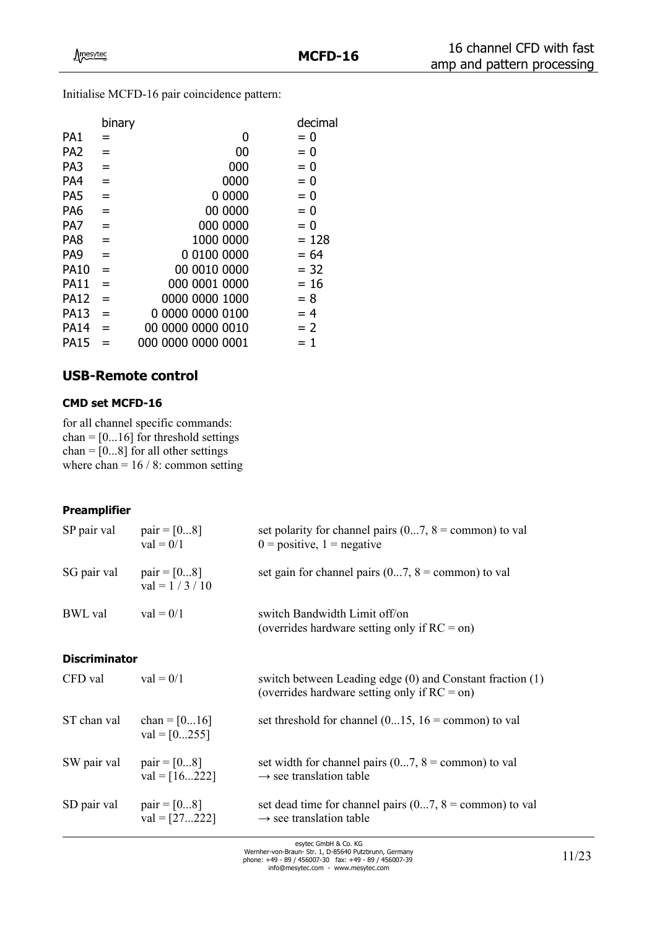Initialise MCFD-16 pair coincidence pattern:

|                 | binary |                    | decimal |
|-----------------|--------|--------------------|---------|
| PA1             | $=$    | 0                  | $= 0$   |
| PA <sub>2</sub> | $=$    | 00                 | $= 0$   |
| PA <sub>3</sub> | $=$    | 000                | $= 0$   |
| PA4             | $=$    | 0000               | $= 0$   |
| PA <sub>5</sub> | $=$    | 0 0000             | $= 0$   |
| PA <sub>6</sub> | $=$    | 00 0000            | $= 0$   |
| PA7             | $=$    | 000 0000           | $= 0$   |
| PA <sub>8</sub> | $=$    | 1000 0000          | $= 128$ |
| PA <sub>9</sub> | $=$    | 0 0100 0000        | $= 64$  |
| <b>PA10</b>     | $=$    | 00 0010 0000       | $= 32$  |
| <b>PA11</b>     | $=$    | 000 0001 0000      | $= 16$  |
| <b>PA12</b>     | $=$    | 0000 0000 1000     | $= 8$   |
| <b>PA13</b>     | $=$    | 0 0000 0000 0100   | $=4$    |
| <b>PA14</b>     | $=$    | 00 0000 0000 0010  | $= 2$   |
| <b>PA15</b>     |        | 000 0000 0000 0001 | $= 1$   |

## **USB-Remote control**

#### **CMD set MCFD-16**

for all channel specific commands: chan =  $[0...16]$  for threshold settings chan =  $[0...8]$  for all other settings where  $chan = 16 / 8$ : common setting

#### **Preamplifier**

| SP pair val          | $pair = [08]$<br>$val = 0/1$        | set polarity for channel pairs $(07, 8)$ = common) to val<br>$0 =$ positive, $1 =$ negative                 |
|----------------------|-------------------------------------|-------------------------------------------------------------------------------------------------------------|
| SG pair val          | $pair = [08]$<br>$val = 1 / 3 / 10$ | set gain for channel pairs $(07, 8)$ = common) to val                                                       |
| <b>BWL</b> val       | $val = 0/1$                         | switch Bandwidth Limit off/on<br>(overrides hardware setting only if $RC =$ on)                             |
| <b>Discriminator</b> |                                     |                                                                                                             |
| CFD val              | $val = 0/1$                         | switch between Leading edge (0) and Constant fraction (1)<br>(overrides hardware setting only if $RC =$ on) |
| ST chan val          | chan = $[016]$<br>$val = [0255]$    | set threshold for channel $(015, 16 =$ common) to val                                                       |
| SW pair val          | $pair = [08]$<br>$val = [16222]$    | set width for channel pairs $(07, 8)$ = common) to val<br>$\rightarrow$ see translation table               |
| SD pair val          | $pair = [08]$<br>$val = [27222]$    | set dead time for channel pairs $(07, 8)$ = common) to val<br>$\rightarrow$ see translation table           |

esytec GmbH & Co. KG<br>Wernher-von-Braun- Str. 1, D-85640 Putzbrunn, Germany<br>phone: +49 - 89 / 456007-30 fax: +49 - 89 / 456007-39<br>info@mesytec.com - www.mesytec.com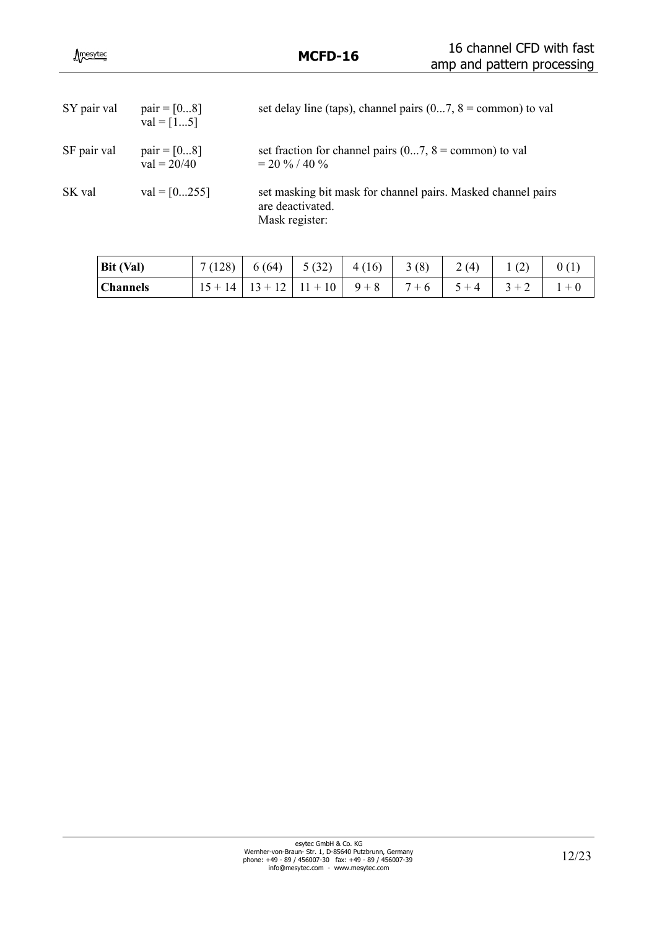| SY pair val | $pair = [08]$<br>$val = [15]$  | set delay line (taps), channel pairs $(07, 8)$ = common) to val                                    |
|-------------|--------------------------------|----------------------------------------------------------------------------------------------------|
| SF pair val | $pair = [08]$<br>$val = 20/40$ | set fraction for channel pairs $(07, 8)$ = common) to val<br>$= 20 \% / 40 \%$                     |
| SK val      | $val = [0255]$                 | set masking bit mask for channel pairs. Masked channel pairs<br>are deactivated.<br>Mask register: |

| $Bit$ (Val) |                                                 |  | $7(128)$ 6(64) 5(32) 4(16) 3(8) 2(4) |  | 1(2) | 0(1)    |
|-------------|-------------------------------------------------|--|--------------------------------------|--|------|---------|
| Channels    | $15+14$ $13+12$ $11+10$ $9+8$ $7+6$ $5+4$ $3+2$ |  |                                      |  |      | $1 + 0$ |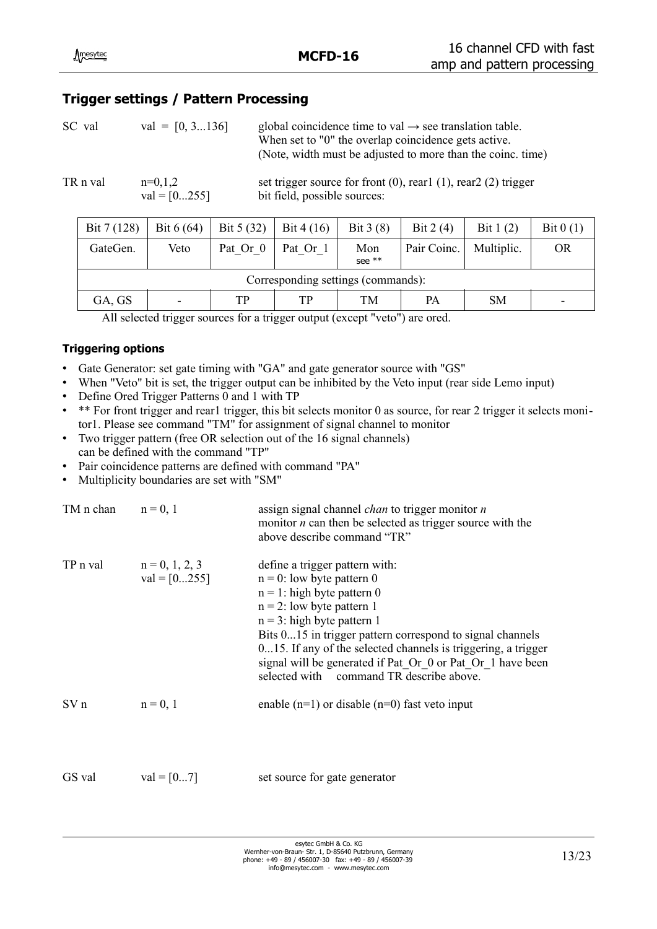## **Trigger settings / Pattern Processing**

| SC val | $val = [0, 3136]$ | global coincidence time to val $\rightarrow$ see translation table.<br>When set to "0" the overlap coincidence gets active.<br>(Note, width must be adjusted to more than the coinc. time) |
|--------|-------------------|--------------------------------------------------------------------------------------------------------------------------------------------------------------------------------------------|
|        |                   |                                                                                                                                                                                            |

TR n val  $n=0,1,2$  set trigger source for front  $(0)$ , rear1  $(1)$ , rear2  $(2)$  trigger  $val = [0...255]$  bit field, possible sources:

| Bit 7 (128) | Bit $6(64)$                        | Bit $5(32)$<br>Bit 4 $(16)$ |          | Bit $3(8)$      | Bit $2(4)$  | Bit $1(2)$ | Bit $0(1)$ |  |  |  |  |  |  |  |
|-------------|------------------------------------|-----------------------------|----------|-----------------|-------------|------------|------------|--|--|--|--|--|--|--|
| GateGen.    | Veto                               | Pat Or 0                    | Pat Or 1 | Mon<br>see $**$ | Pair Coinc. | Multiplic. | <b>OR</b>  |  |  |  |  |  |  |  |
|             | Corresponding settings (commands): |                             |          |                 |             |            |            |  |  |  |  |  |  |  |
| GA, GS      | TР<br>$\overline{\phantom{0}}$     |                             | TP       | TM              | <b>PA</b>   | <b>SM</b>  |            |  |  |  |  |  |  |  |

All selected trigger sources for a trigger output (except "veto") are ored.

### **Triggering options**

- Gate Generator: set gate timing with "GA" and gate generator source with "GS"
- When "Veto" bit is set, the trigger output can be inhibited by the Veto input (rear side Lemo input)
- Define Ored Trigger Patterns 0 and 1 with TP
- \*\* For front trigger and rear1 trigger, this bit selects monitor 0 as source, for rear 2 trigger it selects monitor1. Please see command "TM" for assignment of signal channel to monitor
- Two trigger pattern (free OR selection out of the 16 signal channels) can be defined with the command "TP"
- Pair coincidence patterns are defined with command "PA"
- Multiplicity boundaries are set with "SM"

| TM n chan $n = 0, 1$ |                                             | assign signal channel <i>chan</i> to trigger monitor <i>n</i><br>monitor $n$ can then be selected as trigger source with the<br>above describe command "TR"                                                                                                                                                                                                                                              |
|----------------------|---------------------------------------------|----------------------------------------------------------------------------------------------------------------------------------------------------------------------------------------------------------------------------------------------------------------------------------------------------------------------------------------------------------------------------------------------------------|
|                      | TP n val $n = 0, 1, 2, 3$<br>$val = [0255]$ | define a trigger pattern with:<br>$n = 0$ : low byte pattern 0<br>$n = 1$ : high byte pattern 0<br>$n = 2$ : low byte pattern 1<br>$n = 3$ : high byte pattern 1<br>Bits 015 in trigger pattern correspond to signal channels<br>015. If any of the selected channels is triggering, a trigger<br>signal will be generated if Pat Or 0 or Pat Or 1 have been<br>selected with command TR describe above. |
| SV n                 | $n = 0, 1$                                  | enable $(n=1)$ or disable $(n=0)$ fast veto input                                                                                                                                                                                                                                                                                                                                                        |
| GS val               | $val = [07]$                                | set source for gate generator                                                                                                                                                                                                                                                                                                                                                                            |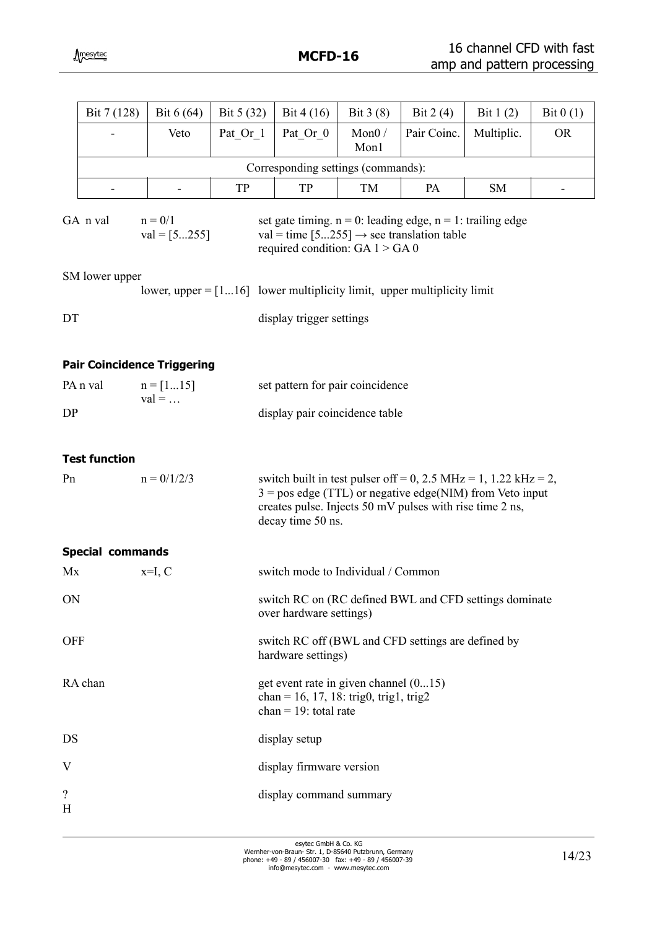|                               | Bit 7 (128)          | Bit $6(64)$                                                                                                                                          | Bit 5 (32)                                                                                                                                                                                                                                                                                                                                                                                                                                                                                                                                                                                                                                                                                                                                                                       | Bit $4(16)$                                                                                                                                                                                                        | Bit $3(8)$       | Bit $2(4)$  | Bit $1(2)$ | Bit $0(1)$ |  |  |  |  |  |
|-------------------------------|----------------------|------------------------------------------------------------------------------------------------------------------------------------------------------|----------------------------------------------------------------------------------------------------------------------------------------------------------------------------------------------------------------------------------------------------------------------------------------------------------------------------------------------------------------------------------------------------------------------------------------------------------------------------------------------------------------------------------------------------------------------------------------------------------------------------------------------------------------------------------------------------------------------------------------------------------------------------------|--------------------------------------------------------------------------------------------------------------------------------------------------------------------------------------------------------------------|------------------|-------------|------------|------------|--|--|--|--|--|
|                               |                      | Veto                                                                                                                                                 | Pat Or 1                                                                                                                                                                                                                                                                                                                                                                                                                                                                                                                                                                                                                                                                                                                                                                         | Pat Or 0                                                                                                                                                                                                           | Mon $0/$<br>Mon1 | Pair Coinc. | Multiplic. | <b>OR</b>  |  |  |  |  |  |
|                               |                      |                                                                                                                                                      |                                                                                                                                                                                                                                                                                                                                                                                                                                                                                                                                                                                                                                                                                                                                                                                  |                                                                                                                                                                                                                    |                  |             |            |            |  |  |  |  |  |
|                               |                      |                                                                                                                                                      | TP                                                                                                                                                                                                                                                                                                                                                                                                                                                                                                                                                                                                                                                                                                                                                                               | TP                                                                                                                                                                                                                 | TM               | PA          | <b>SM</b>  |            |  |  |  |  |  |
|                               | GA n val             |                                                                                                                                                      |                                                                                                                                                                                                                                                                                                                                                                                                                                                                                                                                                                                                                                                                                                                                                                                  |                                                                                                                                                                                                                    |                  |             |            |            |  |  |  |  |  |
|                               | SM lower upper       |                                                                                                                                                      |                                                                                                                                                                                                                                                                                                                                                                                                                                                                                                                                                                                                                                                                                                                                                                                  |                                                                                                                                                                                                                    |                  |             |            |            |  |  |  |  |  |
| DT                            |                      |                                                                                                                                                      |                                                                                                                                                                                                                                                                                                                                                                                                                                                                                                                                                                                                                                                                                                                                                                                  |                                                                                                                                                                                                                    |                  |             |            |            |  |  |  |  |  |
|                               |                      |                                                                                                                                                      |                                                                                                                                                                                                                                                                                                                                                                                                                                                                                                                                                                                                                                                                                                                                                                                  |                                                                                                                                                                                                                    |                  |             |            |            |  |  |  |  |  |
|                               | PA <sub>n</sub> val  |                                                                                                                                                      |                                                                                                                                                                                                                                                                                                                                                                                                                                                                                                                                                                                                                                                                                                                                                                                  |                                                                                                                                                                                                                    |                  |             |            |            |  |  |  |  |  |
| DP                            |                      |                                                                                                                                                      |                                                                                                                                                                                                                                                                                                                                                                                                                                                                                                                                                                                                                                                                                                                                                                                  |                                                                                                                                                                                                                    |                  |             |            |            |  |  |  |  |  |
|                               | <b>Test function</b> |                                                                                                                                                      |                                                                                                                                                                                                                                                                                                                                                                                                                                                                                                                                                                                                                                                                                                                                                                                  |                                                                                                                                                                                                                    |                  |             |            |            |  |  |  |  |  |
| Pn                            |                      |                                                                                                                                                      |                                                                                                                                                                                                                                                                                                                                                                                                                                                                                                                                                                                                                                                                                                                                                                                  | switch built in test pulser of $f = 0$ , 2.5 MHz = 1, 1.22 kHz = 2,<br>$3 = pos$ edge (TTL) or negative edge(NIM) from Veto input<br>creates pulse. Injects 50 mV pulses with rise time 2 ns,<br>decay time 50 ns. |                  |             |            |            |  |  |  |  |  |
|                               |                      |                                                                                                                                                      |                                                                                                                                                                                                                                                                                                                                                                                                                                                                                                                                                                                                                                                                                                                                                                                  |                                                                                                                                                                                                                    |                  |             |            |            |  |  |  |  |  |
| Mx                            |                      |                                                                                                                                                      |                                                                                                                                                                                                                                                                                                                                                                                                                                                                                                                                                                                                                                                                                                                                                                                  |                                                                                                                                                                                                                    |                  |             |            |            |  |  |  |  |  |
| ON                            |                      | $n = 0/1$<br>$val = [5255]$<br><b>Pair Coincidence Triggering</b><br>$n = [115]$<br>$val = $<br>$n = 0/1/2/3$<br><b>Special commands</b><br>$x=I, C$ |                                                                                                                                                                                                                                                                                                                                                                                                                                                                                                                                                                                                                                                                                                                                                                                  |                                                                                                                                                                                                                    |                  |             |            |            |  |  |  |  |  |
| <b>OFF</b>                    |                      |                                                                                                                                                      | Corresponding settings (commands):<br>set gate timing. $n = 0$ : leading edge, $n = 1$ : trailing edge<br>val = time $[5255] \rightarrow$ see translation table<br>required condition: GA $1 >$ GA 0<br>lower, upper $=[116]$ lower multiplicity limit, upper multiplicity limit<br>display trigger settings<br>set pattern for pair coincidence<br>display pair coincidence table<br>switch mode to Individual / Common<br>switch RC on (RC defined BWL and CFD settings dominate<br>over hardware settings)<br>switch RC off (BWL and CFD settings are defined by<br>hardware settings)<br>get event rate in given channel (015)<br>chan = 16, 17, 18: trig0, trig1, trig2<br>chan = $19$ : total rate<br>display setup<br>display firmware version<br>display command summary |                                                                                                                                                                                                                    |                  |             |            |            |  |  |  |  |  |
|                               | RA chan              |                                                                                                                                                      |                                                                                                                                                                                                                                                                                                                                                                                                                                                                                                                                                                                                                                                                                                                                                                                  |                                                                                                                                                                                                                    |                  |             |            |            |  |  |  |  |  |
| DS                            |                      |                                                                                                                                                      |                                                                                                                                                                                                                                                                                                                                                                                                                                                                                                                                                                                                                                                                                                                                                                                  |                                                                                                                                                                                                                    |                  |             |            |            |  |  |  |  |  |
| V                             |                      |                                                                                                                                                      |                                                                                                                                                                                                                                                                                                                                                                                                                                                                                                                                                                                                                                                                                                                                                                                  |                                                                                                                                                                                                                    |                  |             |            |            |  |  |  |  |  |
| $\overline{\mathcal{C}}$<br>H |                      |                                                                                                                                                      |                                                                                                                                                                                                                                                                                                                                                                                                                                                                                                                                                                                                                                                                                                                                                                                  |                                                                                                                                                                                                                    |                  |             |            |            |  |  |  |  |  |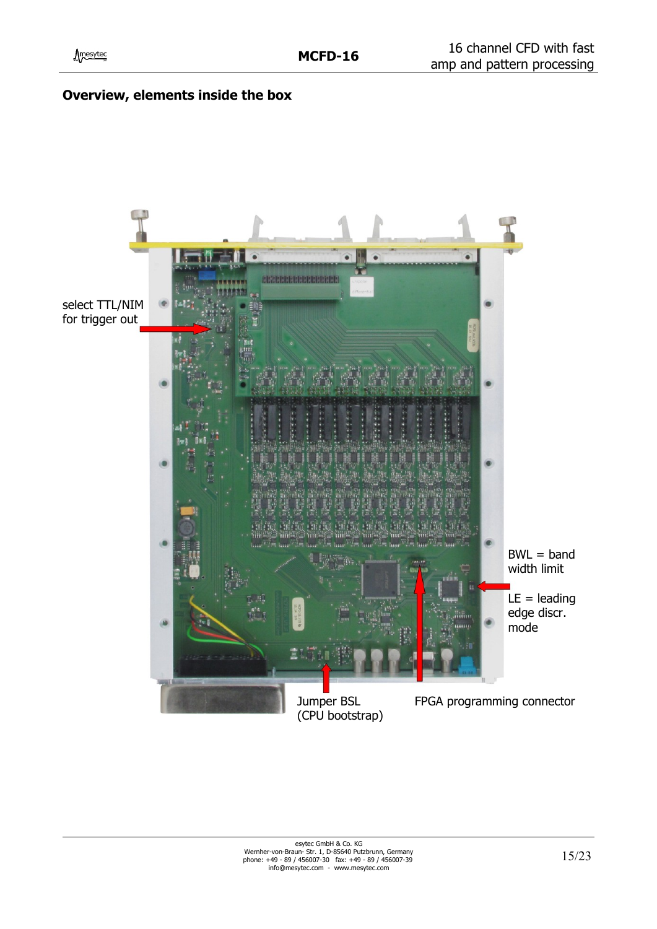

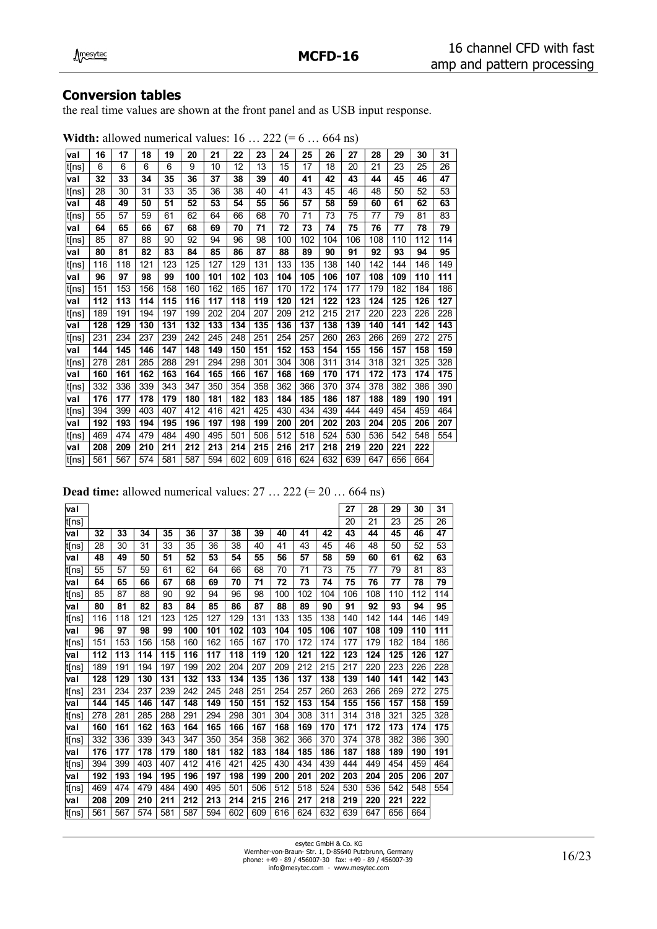## **Conversion tables**

the real time values are shown at the front panel and as USB input response.

|        | 16  | 17  | 18  | 19  |     | 21  | 22  | 23  | 24  |     | 26  | 27  | 28  | 29  | 30  | 31  |
|--------|-----|-----|-----|-----|-----|-----|-----|-----|-----|-----|-----|-----|-----|-----|-----|-----|
| val    |     |     |     |     | 20  |     |     |     |     | 25  |     |     |     |     |     |     |
| ∣t[ns] | 6   | 6   | 6   | 6   | 9   | 10  | 12  | 13  | 15  | 17  | 18  | 20  | 21  | 23  | 25  | 26  |
| val    | 32  | 33  | 34  | 35  | 36  | 37  | 38  | 39  | 40  | 41  | 42  | 43  | 44  | 45  | 46  | 47  |
| t[ns]  | 28  | 30  | 31  | 33  | 35  | 36  | 38  | 40  | 41  | 43  | 45  | 46  | 48  | 50  | 52  | 53  |
| val    | 48  | 49  | 50  | 51  | 52  | 53  | 54  | 55  | 56  | 57  | 58  | 59  | 60  | 61  | 62  | 63  |
| lt[ns] | 55  | 57  | 59  | 61  | 62  | 64  | 66  | 68  | 70  | 71  | 73  | 75  | 77  | 79  | 81  | 83  |
| val    | 64  | 65  | 66  | 67  | 68  | 69  | 70  | 71  | 72  | 73  | 74  | 75  | 76  | 77  | 78  | 79  |
| t[ns]  | 85  | 87  | 88  | 90  | 92  | 94  | 96  | 98  | 100 | 102 | 104 | 106 | 108 | 110 | 112 | 114 |
| val    | 80  | 81  | 82  | 83  | 84  | 85  | 86  | 87  | 88  | 89  | 90  | 91  | 92  | 93  | 94  | 95  |
| t[ns]  | 116 | 118 | 121 | 123 | 125 | 127 | 129 | 131 | 133 | 135 | 138 | 140 | 142 | 144 | 146 | 149 |
| val    | 96  | 97  | 98  | 99  | 100 | 101 | 102 | 103 | 104 | 105 | 106 | 107 | 108 | 109 | 110 | 111 |
| ∣t[ns] | 151 | 153 | 156 | 158 | 160 | 162 | 165 | 167 | 170 | 172 | 174 | 177 | 179 | 182 | 184 | 186 |
| val    | 112 | 113 | 114 | 115 | 116 | 117 | 118 | 119 | 120 | 121 | 122 | 123 | 124 | 125 | 126 | 127 |
| lt[ns] | 189 | 191 | 194 | 197 | 199 | 202 | 204 | 207 | 209 | 212 | 215 | 217 | 220 | 223 | 226 | 228 |
| val    | 128 | 129 | 130 | 131 | 132 | 133 | 134 | 135 | 136 | 137 | 138 | 139 | 140 | 141 | 142 | 143 |
| t[ns]  | 231 | 234 | 237 | 239 | 242 | 245 | 248 | 251 | 254 | 257 | 260 | 263 | 266 | 269 | 272 | 275 |
| val    | 144 | 145 | 146 | 147 | 148 | 149 | 150 | 151 | 152 | 153 | 154 | 155 | 156 | 157 | 158 | 159 |
| ∣t[ns] | 278 | 281 | 285 | 288 | 291 | 294 | 298 | 301 | 304 | 308 | 311 | 314 | 318 | 321 | 325 | 328 |
| val    | 160 | 161 | 162 | 163 | 164 | 165 | 166 | 167 | 168 | 169 | 170 | 171 | 172 | 173 | 174 | 175 |
| ∣t[ns] | 332 | 336 | 339 | 343 | 347 | 350 | 354 | 358 | 362 | 366 | 370 | 374 | 378 | 382 | 386 | 390 |
| val    | 176 | 177 | 178 | 179 | 180 | 181 | 182 | 183 | 184 | 185 | 186 | 187 | 188 | 189 | 190 | 191 |
| t[ns]  | 394 | 399 | 403 | 407 | 412 | 416 | 421 | 425 | 430 | 434 | 439 | 444 | 449 | 454 | 459 | 464 |
| val    | 192 | 193 | 194 | 195 | 196 | 197 | 198 | 199 | 200 | 201 | 202 | 203 | 204 | 205 | 206 | 207 |
| t[ns]  | 469 | 474 | 479 | 484 | 490 | 495 | 501 | 506 | 512 | 518 | 524 | 530 | 536 | 542 | 548 | 554 |
| val    | 208 | 209 | 210 | 211 | 212 | 213 | 214 | 215 | 216 | 217 | 218 | 219 | 220 | 221 | 222 |     |
| ∣t[ns] | 561 | 567 | 574 | 581 | 587 | 594 | 602 | 609 | 616 | 624 | 632 | 639 | 647 | 656 | 664 |     |

| <b>Width:</b> allowed numerical values: $16 \dots 222 (= 6 \dots 664 \text{ ns})$ |  |  |  |  |  |  |
|-----------------------------------------------------------------------------------|--|--|--|--|--|--|
|-----------------------------------------------------------------------------------|--|--|--|--|--|--|

**Dead time:** allowed numerical values: 27 ... 222 (= 20 ... 664 ns)

| val   |     |     |     |     |     |     |     |     |     |     |     | 27  | 28  | 29  | 30  | 31  |
|-------|-----|-----|-----|-----|-----|-----|-----|-----|-----|-----|-----|-----|-----|-----|-----|-----|
| t[ns] |     |     |     |     |     |     |     |     |     |     |     | 20  | 21  | 23  | 25  | 26  |
| val   | 32  | 33  | 34  | 35  | 36  | 37  | 38  | 39  | 40  | 41  | 42  | 43  | 44  | 45  | 46  | 47  |
| t[ns] | 28  | 30  | 31  | 33  | 35  | 36  | 38  | 40  | 41  | 43  | 45  | 46  | 48  | 50  | 52  | 53  |
| val   | 48  | 49  | 50  | 51  | 52  | 53  | 54  | 55  | 56  | 57  | 58  | 59  | 60  | 61  | 62  | 63  |
| t[ns] | 55  | 57  | 59  | 61  | 62  | 64  | 66  | 68  | 70  | 71  | 73  | 75  | 77  | 79  | 81  | 83  |
| val   | 64  | 65  | 66  | 67  | 68  | 69  | 70  | 71  | 72  | 73  | 74  | 75  | 76  | 77  | 78  | 79  |
| t[ns] | 85  | 87  | 88  | 90  | 92  | 94  | 96  | 98  | 100 | 102 | 104 | 106 | 108 | 110 | 112 | 114 |
| val   | 80  | 81  | 82  | 83  | 84  | 85  | 86  | 87  | 88  | 89  | 90  | 91  | 92  | 93  | 94  | 95  |
| t[ns] | 116 | 118 | 121 | 123 | 125 | 127 | 129 | 131 | 133 | 135 | 138 | 140 | 142 | 144 | 146 | 149 |
| val   | 96  | 97  | 98  | 99  | 100 | 101 | 102 | 103 | 104 | 105 | 106 | 107 | 108 | 109 | 110 | 111 |
| t[ns] | 151 | 153 | 156 | 158 | 160 | 162 | 165 | 167 | 170 | 172 | 174 | 177 | 179 | 182 | 184 | 186 |
| val   | 112 | 113 | 114 | 115 | 116 | 117 | 118 | 119 | 120 | 121 | 122 | 123 | 124 | 125 | 126 | 127 |
| t[ns] | 189 | 191 | 194 | 197 | 199 | 202 | 204 | 207 | 209 | 212 | 215 | 217 | 220 | 223 | 226 | 228 |
| val   | 128 | 129 | 130 | 131 | 132 | 133 | 134 | 135 | 136 | 137 | 138 | 139 | 140 | 141 | 142 | 143 |
| t[ns] | 231 | 234 | 237 | 239 | 242 | 245 | 248 | 251 | 254 | 257 | 260 | 263 | 266 | 269 | 272 | 275 |
| val   | 144 | 145 | 146 | 147 | 148 | 149 | 150 | 151 | 152 | 153 | 154 | 155 | 156 | 157 | 158 | 159 |
| t[ns] | 278 | 281 | 285 | 288 | 291 | 294 | 298 | 301 | 304 | 308 | 311 | 314 | 318 | 321 | 325 | 328 |
| val   | 160 | 161 | 162 | 163 | 164 | 165 | 166 | 167 | 168 | 169 | 170 | 171 | 172 | 173 | 174 | 175 |
| t[ns] | 332 | 336 | 339 | 343 | 347 | 350 | 354 | 358 | 362 | 366 | 370 | 374 | 378 | 382 | 386 | 390 |
| val   | 176 | 177 | 178 | 179 | 180 | 181 | 182 | 183 | 184 | 185 | 186 | 187 | 188 | 189 | 190 | 191 |
| t[ns] | 394 | 399 | 403 | 407 | 412 | 416 | 421 | 425 | 430 | 434 | 439 | 444 | 449 | 454 | 459 | 464 |
| val   | 192 | 193 | 194 | 195 | 196 | 197 | 198 | 199 | 200 | 201 | 202 | 203 | 204 | 205 | 206 | 207 |
| t[ns] | 469 | 474 | 479 | 484 | 490 | 495 | 501 | 506 | 512 | 518 | 524 | 530 | 536 | 542 | 548 | 554 |
| val   | 208 | 209 | 210 | 211 | 212 | 213 | 214 | 215 | 216 | 217 | 218 | 219 | 220 | 221 | 222 |     |
| t[ns] | 561 | 567 | 574 | 581 | 587 | 594 | 602 | 609 | 616 | 624 | 632 | 639 | 647 | 656 | 664 |     |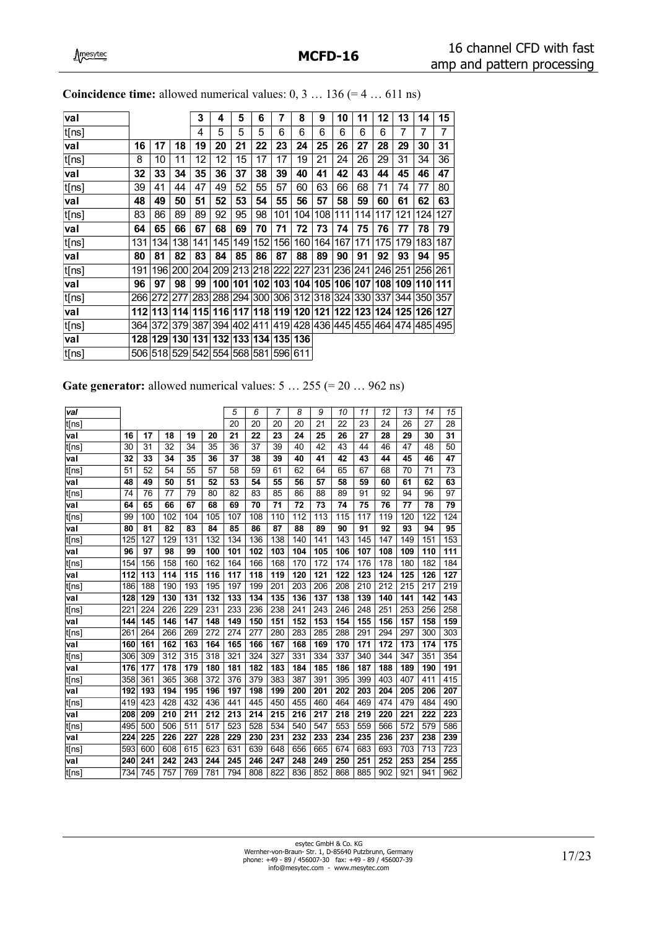| val   |     |                             |          | 3   | 4   | 5   | 6   | 7   | 8                                                                     | 9   | 10  | 11  | 12  | 13                                      | 14  | 15  |
|-------|-----|-----------------------------|----------|-----|-----|-----|-----|-----|-----------------------------------------------------------------------|-----|-----|-----|-----|-----------------------------------------|-----|-----|
| t[ns] |     |                             |          | 4   | 5   | 5   | 5   | 6   | 6                                                                     | 6   | 6   | 6   | 6   | 7                                       | 7   | 7   |
| val   | 16  | 17                          | 18       | 19  | 20  | 21  | 22  | 23  | 24                                                                    | 25  | 26  | 27  | 28  | 29                                      | 30  | 31  |
| t[ns] | 8   | 10                          | 11       | 12  | 12  | 15  | 17  | 17  | 19                                                                    | 21  | 24  | 26  | 29  | 31                                      | 34  | 36  |
| val   | 32  | 33                          | 34       | 35  | 36  | 37  | 38  | 39  | 40                                                                    | 41  | 42  | 43  | 44  | 45                                      | 46  | 47  |
| t[ns] | 39  | 41                          | 44       | 47  | 49  | 52  | 55  | 57  | 60                                                                    | 63  | 66  | 68  | 71  | 74                                      | 77  | 80  |
| val   | 48  | 49                          | 50       | 51  | 52  | 53  | 54  | 55  | 56                                                                    | 57  | 58  | 59  | 60  | 61                                      | 62  | 63  |
| t[ns] | 83  | 86                          | 89       | 89  | 92  | 95  | 98  | 101 | 104                                                                   | 108 | 111 | 114 | 117 | 121                                     | 124 | 127 |
| val   | 64  | 65                          | 66       | 67  | 68  | 69  | 70  | 71  | 72                                                                    | 73  | 74  | 75  | 76  | 77                                      | 78  | 79  |
| t[ns] | 131 | 1341                        | 138      | 141 | 145 | 149 | 152 | 156 | 160                                                                   | 164 | 167 | 171 | 175 | 179                                     | 183 | 187 |
| val   | 80  | 81                          | 82       | 83  | 84  | 85  | 86  | 87  | 88                                                                    | 89  | 90  | 91  | 92  | 93                                      | 94  | 95  |
| t[ns] | 191 |                             | 19612001 | 204 |     |     |     |     | 209 213 218 222 227                                                   |     |     |     |     | 231   236   241   246   251   256   261 |     |     |
| val   | 96  | 97                          | 98       | 99  |     |     |     |     | 100   101   102   103   104   105   106   107   108   109   110   111 |     |     |     |     |                                         |     |     |
| t[ns] |     | 266 272 277                 |          |     |     |     |     |     | 283 288 294 300 306 312 318 324 330 337 344 350 357                   |     |     |     |     |                                         |     |     |
| val   |     |                             |          |     |     |     |     |     | 112 113 114 115 116 117 118 119 120 121 122 123 124 125 126 127       |     |     |     |     |                                         |     |     |
| t[ns] |     | 364 372 379 387             |          |     |     |     |     |     | 394 402 411 419 428 436 445 455 464 474 485 495                       |     |     |     |     |                                         |     |     |
| val   |     |                             |          |     |     |     |     |     | 128 129 130 131 132 133 134 135 136                                   |     |     |     |     |                                         |     |     |
| t[ns] |     | 506 518 529 542 554 568 581 |          |     |     |     |     | 596 | 611                                                                   |     |     |     |     |                                         |     |     |
|       |     |                             |          |     |     |     |     |     |                                                                       |     |     |     |     |                                         |     |     |

| <b>Coincidence time:</b> allowed numerical values: $0, 3136 (= 4611$ ns) |  |
|--------------------------------------------------------------------------|--|
|--------------------------------------------------------------------------|--|

| Gate generator: allowed numerical values: $5 \dots 255 (= 20 \dots 962 \text{ ns})$ |  |  |  |
|-------------------------------------------------------------------------------------|--|--|--|
|                                                                                     |  |  |  |

| val   |     |     |     |     |     | 5   | 6   | 7   | 8   | 9   | 10  | 11  | 12  | 13  | 14  | 15  |
|-------|-----|-----|-----|-----|-----|-----|-----|-----|-----|-----|-----|-----|-----|-----|-----|-----|
| t[ns] |     |     |     |     |     | 20  | 20  | 20  | 20  | 21  | 22  | 23  | 24  | 26  | 27  | 28  |
| val   | 16  | 17  | 18  | 19  | 20  | 21  | 22  | 23  | 24  | 25  | 26  | 27  | 28  | 29  | 30  | 31  |
| t[ns] | 30  | 31  | 32  | 34  | 35  | 36  | 37  | 39  | 40  | 42  | 43  | 44  | 46  | 47  | 48  | 50  |
| val   | 32  | 33  | 34  | 35  | 36  | 37  | 38  | 39  | 40  | 41  | 42  | 43  | 44  | 45  | 46  | 47  |
| t[ns] | 51  | 52  | 54  | 55  | 57  | 58  | 59  | 61  | 62  | 64  | 65  | 67  | 68  | 70  | 71  | 73  |
| val   | 48  | 49  | 50  | 51  | 52  | 53  | 54  | 55  | 56  | 57  | 58  | 59  | 60  | 61  | 62  | 63  |
| t[ns] | 74  | 76  | 77  | 79  | 80  | 82  | 83  | 85  | 86  | 88  | 89  | 91  | 92  | 94  | 96  | 97  |
| val   | 64  | 65  | 66  | 67  | 68  | 69  | 70  | 71  | 72  | 73  | 74  | 75  | 76  | 77  | 78  | 79  |
| t[ns] | 99  | 100 | 102 | 104 | 105 | 107 | 108 | 110 | 112 | 113 | 115 | 117 | 119 | 120 | 122 | 124 |
| val   | 80  | 81  | 82  | 83  | 84  | 85  | 86  | 87  | 88  | 89  | 90  | 91  | 92  | 93  | 94  | 95  |
| t[ns] | 125 | 127 | 129 | 131 | 132 | 134 | 136 | 138 | 140 | 141 | 143 | 145 | 147 | 149 | 151 | 153 |
| val   | 96  | 97  | 98  | 99  | 100 | 101 | 102 | 103 | 104 | 105 | 106 | 107 | 108 | 109 | 110 | 111 |
| t[ns] | 154 | 156 | 158 | 160 | 162 | 164 | 166 | 168 | 170 | 172 | 174 | 176 | 178 | 180 | 182 | 184 |
| val   | 112 | 113 | 114 | 115 | 116 | 117 | 118 | 119 | 120 | 121 | 122 | 123 | 124 | 125 | 126 | 127 |
| t[ns] | 186 | 188 | 190 | 193 | 195 | 197 | 199 | 201 | 203 | 206 | 208 | 210 | 212 | 215 | 217 | 219 |
| val   | 128 | 129 | 130 | 131 | 132 | 133 | 134 | 135 | 136 | 137 | 138 | 139 | 140 | 141 | 142 | 143 |
| t[ns] | 221 | 224 | 226 | 229 | 231 | 233 | 236 | 238 | 241 | 243 | 246 | 248 | 251 | 253 | 256 | 258 |
| val   | 144 | 145 | 146 | 147 | 148 | 149 | 150 | 151 | 152 | 153 | 154 | 155 | 156 | 157 | 158 | 159 |
| t[ns] | 261 | 264 | 266 | 269 | 272 | 274 | 277 | 280 | 283 | 285 | 288 | 291 | 294 | 297 | 300 | 303 |
| val   | 160 | 161 | 162 | 163 | 164 | 165 | 166 | 167 | 168 | 169 | 170 | 171 | 172 | 173 | 174 | 175 |
| t[ns] | 306 | 309 | 312 | 315 | 318 | 321 | 324 | 327 | 331 | 334 | 337 | 340 | 344 | 347 | 351 | 354 |
| val   | 176 | 177 | 178 | 179 | 180 | 181 | 182 | 183 | 184 | 185 | 186 | 187 | 188 | 189 | 190 | 191 |
| t[ns] | 358 | 361 | 365 | 368 | 372 | 376 | 379 | 383 | 387 | 391 | 395 | 399 | 403 | 407 | 411 | 415 |
| val   | 192 | 193 | 194 | 195 | 196 | 197 | 198 | 199 | 200 | 201 | 202 | 203 | 204 | 205 | 206 | 207 |
| t[ns] | 419 | 423 | 428 | 432 | 436 | 441 | 445 | 450 | 455 | 460 | 464 | 469 | 474 | 479 | 484 | 490 |
| val   | 208 | 209 | 210 | 211 | 212 | 213 | 214 | 215 | 216 | 217 | 218 | 219 | 220 | 221 | 222 | 223 |
| t[ns] | 495 | 500 | 506 | 511 | 517 | 523 | 528 | 534 | 540 | 547 | 553 | 559 | 566 | 572 | 579 | 586 |
| val   | 224 | 225 | 226 | 227 | 228 | 229 | 230 | 231 | 232 | 233 | 234 | 235 | 236 | 237 | 238 | 239 |
| t[ns] | 593 | 600 | 608 | 615 | 623 | 631 | 639 | 648 | 656 | 665 | 674 | 683 | 693 | 703 | 713 | 723 |
| val   | 240 | 241 | 242 | 243 | 244 | 245 | 246 | 247 | 248 | 249 | 250 | 251 | 252 | 253 | 254 | 255 |
| t[ns] | 734 | 745 | 757 | 769 | 781 | 794 | 808 | 822 | 836 | 852 | 868 | 885 | 902 | 921 | 941 | 962 |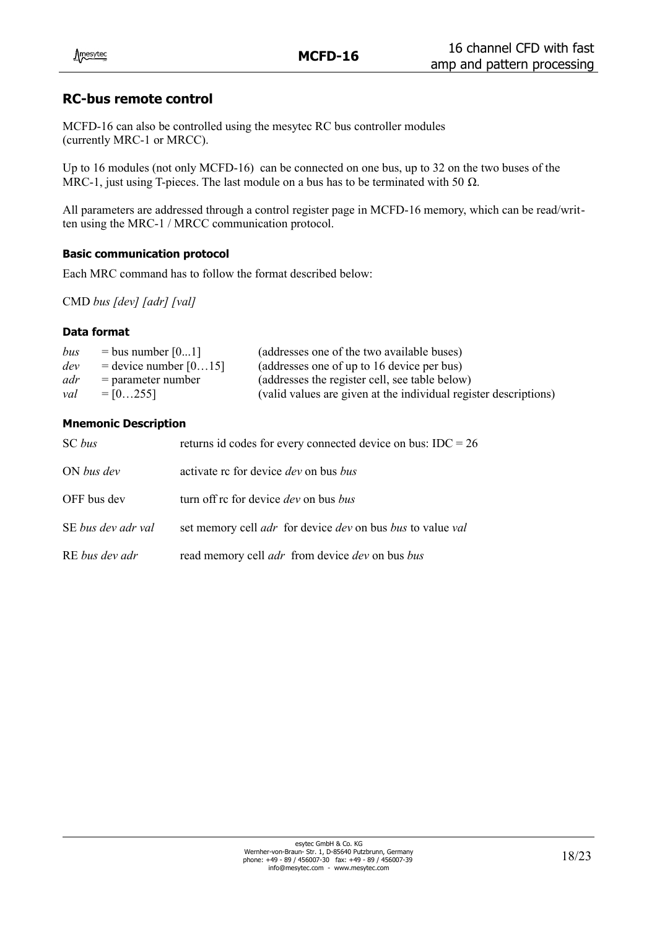## **RC-bus remote control**

MCFD-16 can also be controlled using the mesytec RC bus controller modules (currently MRC-1 or MRCC).

Up to 16 modules (not only MCFD-16) can be connected on one bus, up to 32 on the two buses of the MRC-1, just using T-pieces. The last module on a bus has to be terminated with 50  $\Omega$ .

All parameters are addressed through a control register page in MCFD-16 memory, which can be read/written using the MRC-1 / MRCC communication protocol.

#### **Basic communication protocol**

Each MRC command has to follow the format described below:

CMD *bus [dev] [adr] [val]*

#### **Data format**

| bus | $=$ bus number $[01]$     | (addresses one of the two available buses)                       |
|-----|---------------------------|------------------------------------------------------------------|
| dev | $=$ device number $[015]$ | (addresses one of up to 16 device per bus)                       |
| adr | $=$ parameter number      | (addresses the register cell, see table below)                   |
| val | $= 102551$                | (valid values are given at the individual register descriptions) |

#### **Mnemonic Description**

| SC bus             | returns id codes for every connected device on bus: $IDC = 26$                         |
|--------------------|----------------------------------------------------------------------------------------|
| ON bus dev         | activate rc for device <i>dev</i> on bus <i>bus</i>                                    |
| OFF bus dev        | turn off rc for device <i>dev</i> on bus <i>bus</i>                                    |
| SE bus dev adr val | set memory cell <i>adr</i> for device <i>dev</i> on bus <i>bus</i> to value <i>val</i> |
| RE bus dev adr     | read memory cell <i>adr</i> from device <i>dev</i> on bus <i>bus</i>                   |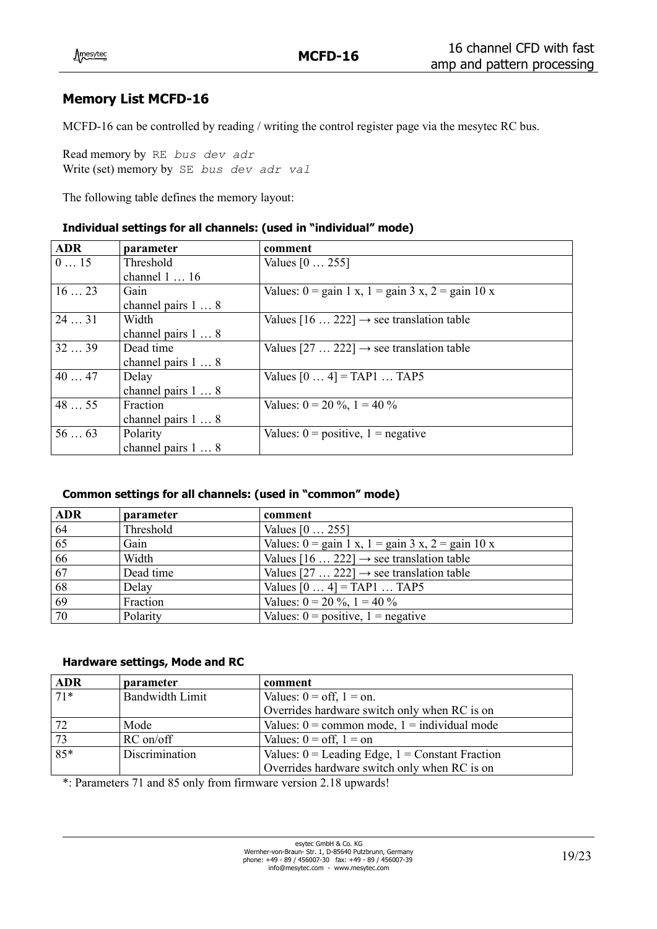## **Memory List MCFD-16**

MCFD-16 can be controlled by reading / writing the control register page via the mesytec RC bus.

Read memory by RE *bus dev adr* Write (set) memory by SE *bus dev adr val*

The following table defines the memory layout:

#### **Individual settings for all channels: (used in "individual" mode)**

| <b>ADR</b> | parameter                  | comment                                                                                          |
|------------|----------------------------|--------------------------------------------------------------------------------------------------|
| 015        | Threshold                  | Values $[0 \dots 255]$                                                                           |
|            | channel $1 \dots 16$       |                                                                                                  |
| 1623       | Gain                       | Values: $0 = \text{gain} 1 \text{ x}, 1 = \text{gain} 3 \text{ x}, 2 = \text{gain} 10 \text{ x}$ |
|            | channel pairs $1 \ldots 8$ |                                                                                                  |
| 2431       | Width                      | Values $[16 \dots 222] \rightarrow$ see translation table                                        |
|            | channel pairs 1  8         |                                                                                                  |
| 3239       | Dead time                  | Values $[27 \dots 222] \rightarrow$ see translation table                                        |
|            | channel pairs 1  8         |                                                                                                  |
| 4047       | Delay                      | Values $[04] = TAP1 TAP5$                                                                        |
|            | channel pairs 1  8         |                                                                                                  |
| 4855       | Fraction                   | Values: $0 = 20 \%$ , $1 = 40 \%$                                                                |
|            | channel pairs $1 \ldots 8$ |                                                                                                  |
| 5663       | Polarity                   | Values: $0 = positive$ , $1 = negative$                                                          |
|            | channel pairs 1  8         |                                                                                                  |

#### **Common settings for all channels: (used in "common" mode)**

| <b>ADR</b> | parameter | comment                                                                                          |
|------------|-----------|--------------------------------------------------------------------------------------------------|
| 64         | Threshold | Values $[0 \dots 255]$                                                                           |
| 65         | Gain      | Values: $0 = \text{gain} 1 \text{ x}, 1 = \text{gain} 3 \text{ x}, 2 = \text{gain} 10 \text{ x}$ |
| 66         | Width     | Values $[16 \dots 222] \rightarrow$ see translation table                                        |
| 67         | Dead time | Values [27  222] $\rightarrow$ see translation table                                             |
| 68         | Delay     | Values $[04] = TAP1 TAP5$                                                                        |
| 69         | Fraction  | Values: $0 = 20 \%$ , $1 = 40 \%$                                                                |
| 70         | Polarity  | Values: $0 = positive$ , $1 = negative$                                                          |

#### **Hardware settings, Mode and RC**

| <b>ADR</b>   | parameter              | comment                                             |
|--------------|------------------------|-----------------------------------------------------|
| $\sqrt{71*}$ | <b>Bandwidth Limit</b> | Values: $0 = \text{off}, 1 = \text{on}.$            |
|              |                        | Overrides hardware switch only when RC is on        |
| 72           | Mode                   | Values: $0 =$ common mode, $1 =$ individual mode    |
| $\sqrt{73}$  | $RC$ on/off            | Values: $0 = \text{off}, 1 = \text{on}$             |
| $85*$        | Discrimination         | Values: $0 =$ Leading Edge, $1 =$ Constant Fraction |
|              |                        | Overrides hardware switch only when RC is on        |

\*: Parameters 71 and 85 only from firmware version 2.18 upwards!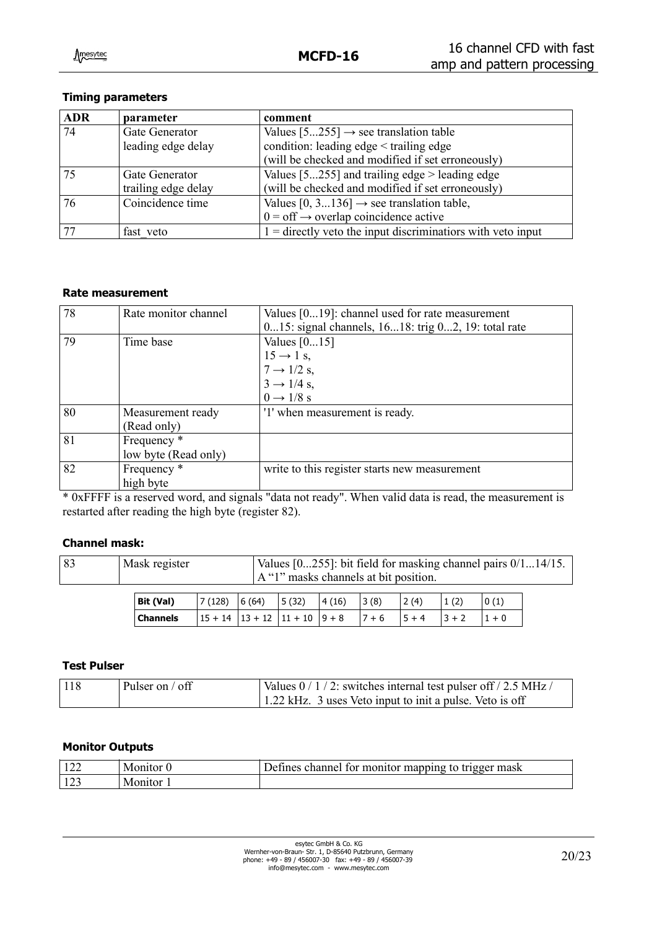### **Timing parameters**

| <b>ADR</b> | parameter           | comment                                                       |
|------------|---------------------|---------------------------------------------------------------|
| 74         | Gate Generator      | Values $[5255] \rightarrow$ see translation table             |
|            | leading edge delay  | condition: leading edge < trailing edge                       |
|            |                     | (will be checked and modified if set erroneously)             |
| 75         | Gate Generator      | Values $[5255]$ and trailing edge $>$ leading edge            |
|            | trailing edge delay | (will be checked and modified if set erroneously)             |
| 76         | Coincidence time    | Values [0, 3136] $\rightarrow$ see translation table,         |
|            |                     | $0 = \text{off} \rightarrow$ overlap coincidence active       |
|            | fast veto           | $1 =$ directly veto the input discriminations with veto input |

#### **Rate measurement**

| 78 | Rate monitor channel   | Values $[019]$ : channel used for rate measurement  |
|----|------------------------|-----------------------------------------------------|
|    |                        | 015: signal channels, 1618: trig 02, 19: total rate |
| 79 | Time base              | Values $[015]$                                      |
|    |                        | $15 \rightarrow 1$ s,                               |
|    |                        | $7 \rightarrow 1/2$ s,                              |
|    |                        | $3 \rightarrow 1/4$ s,                              |
|    |                        | $0 \rightarrow 1/8$ s                               |
| 80 | Measurement ready      | '1' when measurement is ready.                      |
|    | (Read only)            |                                                     |
| 81 | Frequency <sup>*</sup> |                                                     |
|    | low byte (Read only)   |                                                     |
| 82 | Frequency *            | write to this register starts new measurement       |
|    | high byte              |                                                     |

\* 0xFFFF is a reserved word, and signals "data not ready". When valid data is read, the measurement is restarted after reading the high byte (register 82).

#### **Channel mask:**

| 83 | Mask register | Values $[0255]$ : bit field for masking channel pairs $0/114/15$ . |  |  |  |
|----|---------------|--------------------------------------------------------------------|--|--|--|
|    |               | $A''1''$ masks channels at bit position.                           |  |  |  |
|    |               |                                                                    |  |  |  |

| Bit (Val) | $7(128)$ 6(64) |                                       | 5(32) | 4(16) | 3(8)     | 2(4)     | 1(2)     | 0(1) |
|-----------|----------------|---------------------------------------|-------|-------|----------|----------|----------|------|
| Channels  |                | $15 + 14$   13 + 12   11 + 10   9 + 8 |       |       | $17 + 6$ | $15 + 4$ | $13 + 2$ |      |

#### **Test Pulser**

| 118 | Pulser on / off | Values 0/1/2: switches internal test pulser of f/2.5 MHz/ |
|-----|-----------------|-----------------------------------------------------------|
|     |                 | 1.22 kHz. 3 uses Veto input to init a pulse. Veto is off  |

#### **Monitor Outputs**

| ے بے   | Monitor | mapping<br>tor monitor<br>channel<br>trigger mask<br>Defines<br>to. |
|--------|---------|---------------------------------------------------------------------|
| ر ہے د | Monitor |                                                                     |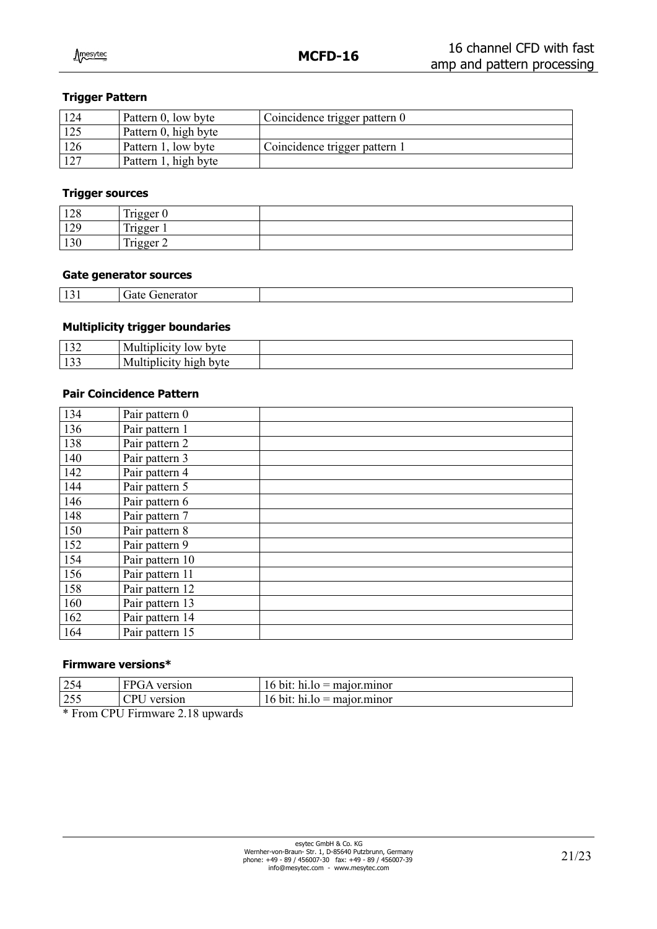#### **Trigger Pattern**

| 124 | Pattern 0, low byte  | $\sqrt{2}$ Coincidence trigger pattern 0 |
|-----|----------------------|------------------------------------------|
| 125 | Pattern 0, high byte |                                          |
| 126 | Pattern 1, low byte  | Coincidence trigger pattern 1            |
|     | Pattern 1, high byte |                                          |

#### **Trigger sources**

| 120<br>140   | $\mathbf{m}$ .<br><b>T</b> rioger<br>$-155$ |  |
|--------------|---------------------------------------------|--|
| 120<br>129   | $\mathbf{r}$ .<br>rigger                    |  |
| 120<br>1 J V | $\mathbf{r}$<br>$r1 \sigma0$<br>$-155$ $-1$ |  |

#### **Gate generator sources**

| $\sim$ $\sim$ $\sim$ | . |  |
|----------------------|---|--|
|                      |   |  |

#### **Multiplicity trigger boundaries**

| $\overline{\phantom{a}}$ | t≇r⊂<br>''Vlu<br>1 V A                      |  |
|--------------------------|---------------------------------------------|--|
| - 1<br><u>.</u>          | ь.<br>byte<br>,,,,,,<br>$\mathbf{u}$<br>. . |  |

#### **Pair Coincidence Pattern**

| 134 | Pair pattern 0  |
|-----|-----------------|
| 136 | Pair pattern 1  |
| 138 | Pair pattern 2  |
| 140 | Pair pattern 3  |
| 142 | Pair pattern 4  |
| 144 | Pair pattern 5  |
| 146 | Pair pattern 6  |
| 148 | Pair pattern 7  |
| 150 | Pair pattern 8  |
| 152 | Pair pattern 9  |
| 154 | Pair pattern 10 |
| 156 | Pair pattern 11 |
| 158 | Pair pattern 12 |
| 160 | Pair pattern 13 |
| 162 | Pair pattern 14 |
| 164 | Pair pattern 15 |

#### **Firmware versions\***

| $\vert 254$ | ' FPGA<br>version      | $\ln 10 =$ major minor<br>$16$ bit:      |
|-------------|------------------------|------------------------------------------|
| $\vert 255$ | $\cap$ PI 1<br>version | : $hi_{10} = major_{10}$<br>, bit:<br>16 |

\* From CPU Firmware 2.18 upwards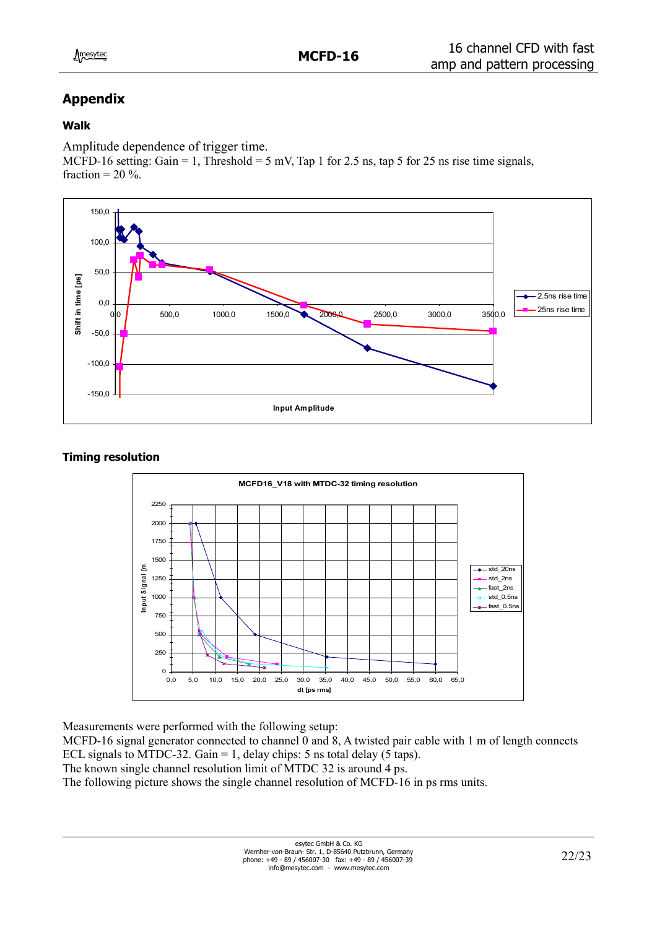# **Appendix**

## **Walk**

Amplitude dependence of trigger time.

MCFD-16 setting: Gain = 1, Threshold = 5 mV, Tap 1 for 2.5 ns, tap 5 for 25 ns rise time signals, fraction =  $20\%$ .



### **Timing resolution**



Measurements were performed with the following setup:

MCFD-16 signal generator connected to channel 0 and 8, A twisted pair cable with 1 m of length connects ECL signals to MTDC-32. Gain = 1, delay chips: 5 ns total delay (5 taps). The known single channel resolution limit of MTDC 32 is around 4 ps.

The following picture shows the single channel resolution of MCFD-16 in ps rms units.